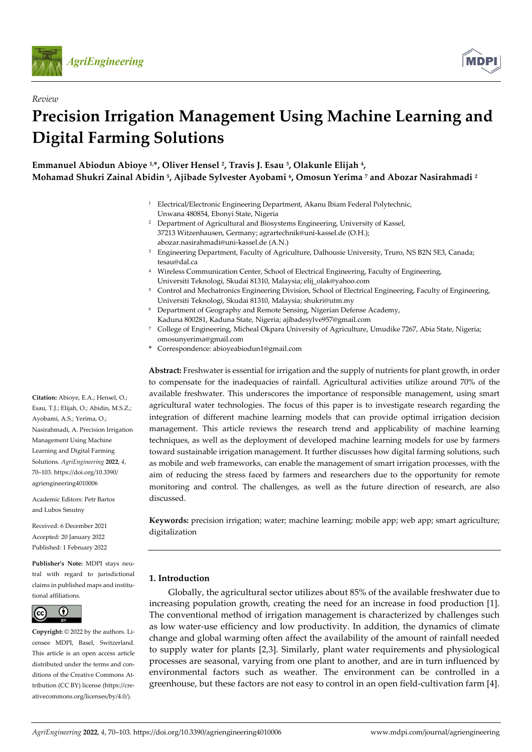

*Review*



# **Precision Irrigation Management Using Machine Learning and Digital Farming Solutions**

**Emmanuel Abiodun Abioye 1,\*, Oliver Hensel 2, Travis J. Esau 3, Olakunle Elijah 4, Mohamad Shukri Zainal Abidin 5, Ajibade Sylvester Ayobami 6, Omosun Yerima 7 and Abozar Nasirahmadi 2**

- <sup>1</sup> Electrical/Electronic Engineering Department, Akanu Ibiam Federal Polytechnic, Unwana 480854, Ebonyi State, Nigeria
- <sup>2</sup> Department of Agricultural and Biosystems Engineering, University of Kassel, 37213 Witzenhausen, Germany; agrartechnik@uni-kassel.de (O.H.); abozar.nasirahmadi@uni-kassel.de (A.N.)
- <sup>3</sup> Engineering Department, Faculty of Agriculture, Dalhousie University, Truro, NS B2N 5E3, Canada; tesau@dal.ca
- <sup>4</sup> Wireless Communication Center, School of Electrical Engineering, Faculty of Engineering, Universiti Teknologi, Skudai 81310, Malaysia; elij\_olak@yahoo.com
- <sup>5</sup> Control and Mechatronics Engineering Division, School of Electrical Engineering, Faculty of Engineering, Universiti Teknologi, Skudai 81310, Malaysia; shukri@utm.my
- <sup>6</sup> Department of Geography and Remote Sensing, Nigerian Defense Academy, Kaduna 800281, Kaduna State, Nigeria; ajibadesylve957@gmail.com
- <sup>7</sup> College of Engineering, Micheal Okpara University of Agriculture, Umudike 7267, Abia State, Nigeria; omosunyerima@gmail.com
- **\*** Correspondence: abioyeabiodun1@gmail.com

**Abstract:** Freshwater is essential for irrigation and the supply of nutrients for plant growth, in order to compensate for the inadequacies of rainfall. Agricultural activities utilize around 70% of the available freshwater. This underscores the importance of responsible management, using smart agricultural water technologies. The focus of this paper is to investigate research regarding the integration of different machine learning models that can provide optimal irrigation decision management. This article reviews the research trend and applicability of machine learning techniques, as well as the deployment of developed machine learning models for use by farmers toward sustainable irrigation management. It further discusses how digital farming solutions, such as mobile and web frameworks, can enable the management of smart irrigation processes, with the aim of reducing the stress faced by farmers and researchers due to the opportunity for remote monitoring and control. The challenges, as well as the future direction of research, are also discussed.

**Keywords:** precision irrigation; water; machine learning; mobile app; web app; smart agriculture; digitalization

# **1. Introduction**

Globally, the agricultural sector utilizes about 85% of the available freshwater due to increasing population growth, creating the need for an increase in food production [1]. The conventional method of irrigation management is characterized by challenges such as low water-use efficiency and low productivity. In addition, the dynamics of climate change and global warming often affect the availability of the amount of rainfall needed to supply water for plants [2,3]. Similarly, plant water requirements and physiological processes are seasonal, varying from one plant to another, and are in turn influenced by environmental factors such as weather. The environment can be controlled in a greenhouse, but these factors are not easy to control in an open field-cultivation farm [4].

**Citation:** Abioye, E.A.; Hensel, O.; Esau, T.J.; Elijah, O.; Abidin, M.S.Z.; Ayobami, A.S.; Yerima, O.; Nasirahmadi, A. Precision Irrigation Management Using Machine Learning and Digital Farming Solutions. *AgriEngineering* **2022**, *4*, 70–103. https://doi.org/10.3390/ agriengineering4010006

Academic Editors: Petr Bartos and Lubos Smutny

Received: 6 December 2021 Accepted: 20 January 2022 Published: 1 February 2022

**Publisher's Note:** MDPI stays neutral with regard to jurisdictional claims in published maps and institutional affiliations.



**Copyright:** © 2022 by the authors. Licensee MDPI, Basel, Switzerland. This article is an open access article distributed under the terms and conditions of the Creative Commons Attribution (CC BY) license (https://creativecommons.org/licenses/by/4.0/).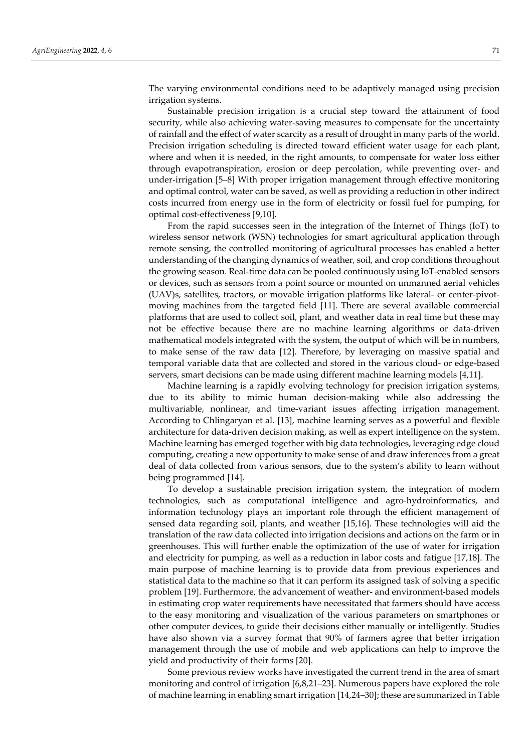The varying environmental conditions need to be adaptively managed using precision irrigation systems.

Sustainable precision irrigation is a crucial step toward the attainment of food security, while also achieving water-saving measures to compensate for the uncertainty of rainfall and the effect of water scarcity as a result of drought in many parts of the world. Precision irrigation scheduling is directed toward efficient water usage for each plant, where and when it is needed, in the right amounts, to compensate for water loss either through evapotranspiration, erosion or deep percolation, while preventing over- and under-irrigation [5–8] With proper irrigation management through effective monitoring and optimal control, water can be saved, as well as providing a reduction in other indirect costs incurred from energy use in the form of electricity or fossil fuel for pumping, for optimal cost-effectiveness [9,10].

From the rapid successes seen in the integration of the Internet of Things (IoT) to wireless sensor network (WSN) technologies for smart agricultural application through remote sensing, the controlled monitoring of agricultural processes has enabled a better understanding of the changing dynamics of weather, soil, and crop conditions throughout the growing season. Real-time data can be pooled continuously using IoT-enabled sensors or devices, such as sensors from a point source or mounted on unmanned aerial vehicles (UAV)s, satellites, tractors, or movable irrigation platforms like lateral- or center-pivotmoving machines from the targeted field [11]. There are several available commercial platforms that are used to collect soil, plant, and weather data in real time but these may not be effective because there are no machine learning algorithms or data-driven mathematical models integrated with the system, the output of which will be in numbers, to make sense of the raw data [12]. Therefore, by leveraging on massive spatial and temporal variable data that are collected and stored in the various cloud- or edge-based servers, smart decisions can be made using different machine learning models [4,11].

Machine learning is a rapidly evolving technology for precision irrigation systems, due to its ability to mimic human decision-making while also addressing the multivariable, nonlinear, and time-variant issues affecting irrigation management. According to Chlingaryan et al. [13], machine learning serves as a powerful and flexible architecture for data-driven decision making, as well as expert intelligence on the system. Machine learning has emerged together with big data technologies, leveraging edge cloud computing, creating a new opportunity to make sense of and draw inferences from a great deal of data collected from various sensors, due to the system's ability to learn without being programmed [14].

To develop a sustainable precision irrigation system, the integration of modern technologies, such as computational intelligence and agro-hydroinformatics, and information technology plays an important role through the efficient management of sensed data regarding soil, plants, and weather [15,16]. These technologies will aid the translation of the raw data collected into irrigation decisions and actions on the farm or in greenhouses. This will further enable the optimization of the use of water for irrigation and electricity for pumping, as well as a reduction in labor costs and fatigue [17,18]. The main purpose of machine learning is to provide data from previous experiences and statistical data to the machine so that it can perform its assigned task of solving a specific problem [19]. Furthermore, the advancement of weather- and environment-based models in estimating crop water requirements have necessitated that farmers should have access to the easy monitoring and visualization of the various parameters on smartphones or other computer devices, to guide their decisions either manually or intelligently. Studies have also shown via a survey format that 90% of farmers agree that better irrigation management through the use of mobile and web applications can help to improve the yield and productivity of their farms [20].

Some previous review works have investigated the current trend in the area of smart monitoring and control of irrigation [6,8,21–23]. Numerous papers have explored the role of machine learning in enabling smart irrigation [14,24–30]; these are summarized in Table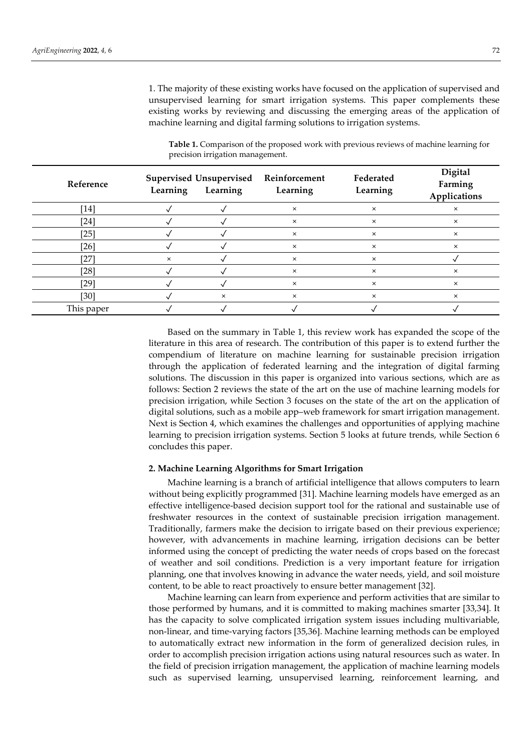1. The majority of these existing works have focused on the application of supervised and unsupervised learning for smart irrigation systems. This paper complements these existing works by reviewing and discussing the emerging areas of the application of machine learning and digital farming solutions to irrigation systems.

| Reference  | Supervised Unsupervised Reinforcement<br>Learning<br>Learning |   | Learning | Federated<br>Learning | Digital<br>Farming<br>Applications |
|------------|---------------------------------------------------------------|---|----------|-----------------------|------------------------------------|
| [14]       |                                                               |   | $\times$ | $\times$              | $\times$                           |
| $[24]$     |                                                               |   | ×        | $\times$              | $\times$                           |
| $[25]$     |                                                               |   | $\times$ | $\times$              | $\times$                           |
| $[26]$     |                                                               |   | $\times$ | $\times$              | $\times$                           |
| $[27]$     | $\times$                                                      |   | $\times$ | $\times$              |                                    |
| $[28]$     |                                                               |   | $\times$ | $\times$              | ×                                  |
| [29]       |                                                               |   | $\times$ | $\times$              | $\times$                           |
| [30]       |                                                               | × | $\times$ | $\times$              | $\times$                           |
| This paper |                                                               |   |          |                       |                                    |

**Table 1.** Comparison of the proposed work with previous reviews of machine learning for precision irrigation management.

Based on the summary in Table 1, this review work has expanded the scope of the literature in this area of research. The contribution of this paper is to extend further the compendium of literature on machine learning for sustainable precision irrigation through the application of federated learning and the integration of digital farming solutions. The discussion in this paper is organized into various sections, which are as follows: Section 2 reviews the state of the art on the use of machine learning models for precision irrigation, while Section 3 focuses on the state of the art on the application of digital solutions, such as a mobile app–web framework for smart irrigation management. Next is Section 4, which examines the challenges and opportunities of applying machine learning to precision irrigation systems. Section 5 looks at future trends, while Section 6 concludes this paper.

## **2. Machine Learning Algorithms for Smart Irrigation**

Machine learning is a branch of artificial intelligence that allows computers to learn without being explicitly programmed [31]. Machine learning models have emerged as an effective intelligence-based decision support tool for the rational and sustainable use of freshwater resources in the context of sustainable precision irrigation management. Traditionally, farmers make the decision to irrigate based on their previous experience; however, with advancements in machine learning, irrigation decisions can be better informed using the concept of predicting the water needs of crops based on the forecast of weather and soil conditions. Prediction is a very important feature for irrigation planning, one that involves knowing in advance the water needs, yield, and soil moisture content, to be able to react proactively to ensure better management [32].

Machine learning can learn from experience and perform activities that are similar to those performed by humans, and it is committed to making machines smarter [33,34]. It has the capacity to solve complicated irrigation system issues including multivariable, non-linear, and time-varying factors [35,36]. Machine learning methods can be employed to automatically extract new information in the form of generalized decision rules, in order to accomplish precision irrigation actions using natural resources such as water. In the field of precision irrigation management, the application of machine learning models such as supervised learning, unsupervised learning, reinforcement learning, and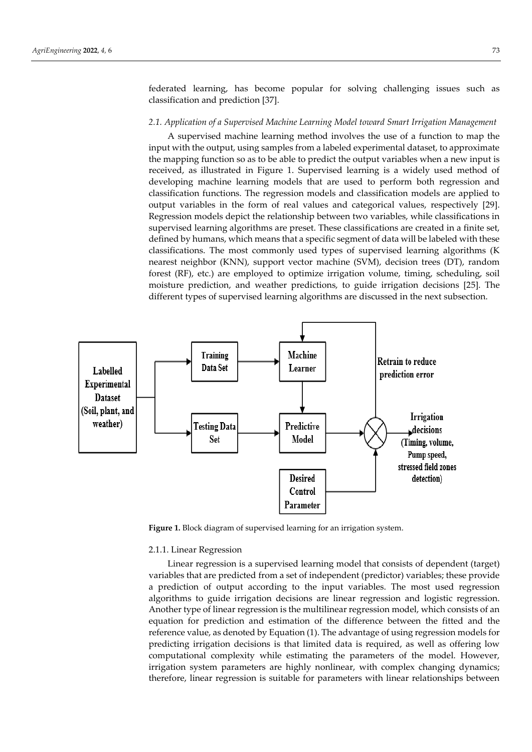federated learning, has become popular for solving challenging issues such as classification and prediction [37].

#### *2.1. Application of a Supervised Machine Learning Model toward Smart Irrigation Management*

A supervised machine learning method involves the use of a function to map the input with the output, using samples from a labeled experimental dataset, to approximate the mapping function so as to be able to predict the output variables when a new input is received, as illustrated in Figure 1. Supervised learning is a widely used method of developing machine learning models that are used to perform both regression and classification functions. The regression models and classification models are applied to output variables in the form of real values and categorical values, respectively [29]. Regression models depict the relationship between two variables, while classifications in supervised learning algorithms are preset. These classifications are created in a finite set, defined by humans, which means that a specific segment of data will be labeled with these classifications. The most commonly used types of supervised learning algorithms (K nearest neighbor (KNN), support vector machine (SVM), decision trees (DT), random forest (RF), etc.) are employed to optimize irrigation volume, timing, scheduling, soil moisture prediction, and weather predictions, to guide irrigation decisions [25]. The different types of supervised learning algorithms are discussed in the next subsection.



**Figure 1.** Block diagram of supervised learning for an irrigation system.

#### 2.1.1. Linear Regression

Linear regression is a supervised learning model that consists of dependent (target) variables that are predicted from a set of independent (predictor) variables; these provide a prediction of output according to the input variables. The most used regression algorithms to guide irrigation decisions are linear regression and logistic regression. Another type of linear regression is the multilinear regression model, which consists of an equation for prediction and estimation of the difference between the fitted and the reference value, as denoted by Equation (1). The advantage of using regression models for predicting irrigation decisions is that limited data is required, as well as offering low computational complexity while estimating the parameters of the model. However, irrigation system parameters are highly nonlinear, with complex changing dynamics; therefore, linear regression is suitable for parameters with linear relationships between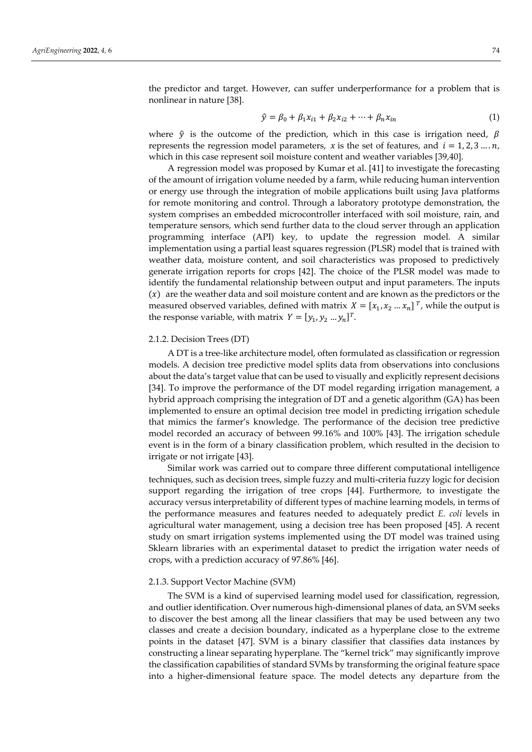the predictor and target. However, can suffer underperformance for a problem that is nonlinear in nature [38].

$$
\hat{y} = \beta_0 + \beta_1 x_{i1} + \beta_2 x_{i2} + \dots + \beta_n x_{in}
$$
\n(1)

where  $\hat{y}$  is the outcome of the prediction, which in this case is irrigation need,  $\beta$ represents the regression model parameters,  $x$  is the set of features, and  $i = 1, 2, 3, ..., n$ , which in this case represent soil moisture content and weather variables [39,40].

A regression model was proposed by Kumar et al. [41] to investigate the forecasting of the amount of irrigation volume needed by a farm, while reducing human intervention or energy use through the integration of mobile applications built using Java platforms for remote monitoring and control. Through a laboratory prototype demonstration, the system comprises an embedded microcontroller interfaced with soil moisture, rain, and temperature sensors, which send further data to the cloud server through an application programming interface (API) key, to update the regression model. A similar implementation using a partial least squares regression (PLSR) model that is trained with weather data, moisture content, and soil characteristics was proposed to predictively generate irrigation reports for crops [42]. The choice of the PLSR model was made to identify the fundamental relationship between output and input parameters. The inputs  $(x)$  are the weather data and soil moisture content and are known as the predictors or the measured observed variables, defined with matrix  $X = [x_1, x_2 \ldots x_n]^T$ , while the output is the response variable, with matrix  $Y = [y_1, y_2, ..., y_n]^T$ .

#### 2.1.2. Decision Trees (DT)

A DT is a tree-like architecture model, often formulated as classification or regression models. A decision tree predictive model splits data from observations into conclusions about the data's target value that can be used to visually and explicitly represent decisions [34]. To improve the performance of the DT model regarding irrigation management, a hybrid approach comprising the integration of DT and a genetic algorithm (GA) has been implemented to ensure an optimal decision tree model in predicting irrigation schedule that mimics the farmer's knowledge. The performance of the decision tree predictive model recorded an accuracy of between 99.16% and 100% [43]. The irrigation schedule event is in the form of a binary classification problem, which resulted in the decision to irrigate or not irrigate [43].

Similar work was carried out to compare three different computational intelligence techniques, such as decision trees, simple fuzzy and multi-criteria fuzzy logic for decision support regarding the irrigation of tree crops [44]. Furthermore, to investigate the accuracy versus interpretability of different types of machine learning models, in terms of the performance measures and features needed to adequately predict *E. coli* levels in agricultural water management, using a decision tree has been proposed [45]. A recent study on smart irrigation systems implemented using the DT model was trained using Sklearn libraries with an experimental dataset to predict the irrigation water needs of crops, with a prediction accuracy of 97.86% [46].

## 2.1.3. Support Vector Machine (SVM)

The SVM is a kind of supervised learning model used for classification, regression, and outlier identification. Over numerous high-dimensional planes of data, an SVM seeks to discover the best among all the linear classifiers that may be used between any two classes and create a decision boundary, indicated as a hyperplane close to the extreme points in the dataset [47]. SVM is a binary classifier that classifies data instances by constructing a linear separating hyperplane. The "kernel trick" may significantly improve the classification capabilities of standard SVMs by transforming the original feature space into a higher-dimensional feature space. The model detects any departure from the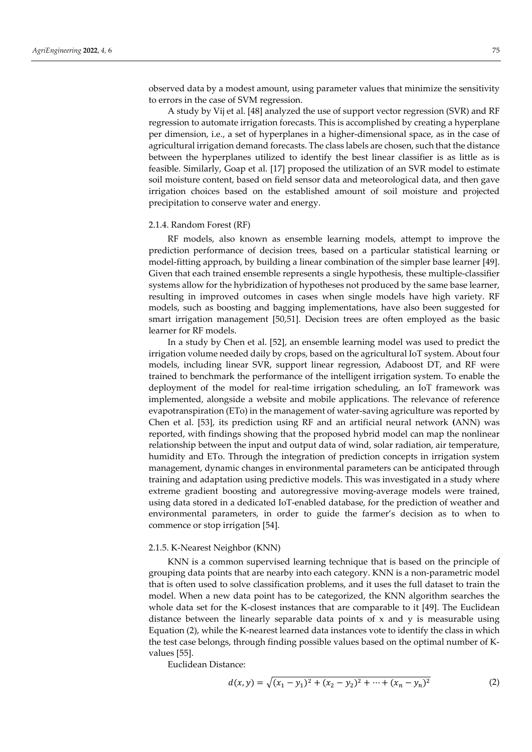observed data by a modest amount, using parameter values that minimize the sensitivity to errors in the case of SVM regression.

A study by Vij et al. [48] analyzed the use of support vector regression (SVR) and RF regression to automate irrigation forecasts. This is accomplished by creating a hyperplane per dimension, i.e., a set of hyperplanes in a higher-dimensional space, as in the case of agricultural irrigation demand forecasts. The class labels are chosen, such that the distance between the hyperplanes utilized to identify the best linear classifier is as little as is feasible. Similarly, Goap et al. [17] proposed the utilization of an SVR model to estimate soil moisture content, based on field sensor data and meteorological data, and then gave irrigation choices based on the established amount of soil moisture and projected precipitation to conserve water and energy.

#### 2.1.4. Random Forest (RF)

RF models, also known as ensemble learning models, attempt to improve the prediction performance of decision trees, based on a particular statistical learning or model-fitting approach, by building a linear combination of the simpler base learner [49]. Given that each trained ensemble represents a single hypothesis, these multiple-classifier systems allow for the hybridization of hypotheses not produced by the same base learner, resulting in improved outcomes in cases when single models have high variety. RF models, such as boosting and bagging implementations, have also been suggested for smart irrigation management [50,51]. Decision trees are often employed as the basic learner for RF models.

In a study by Chen et al. [52], an ensemble learning model was used to predict the irrigation volume needed daily by crops, based on the agricultural IoT system. About four models, including linear SVR, support linear regression, Adaboost DT, and RF were trained to benchmark the performance of the intelligent irrigation system. To enable the deployment of the model for real-time irrigation scheduling, an IoT framework was implemented, alongside a website and mobile applications. The relevance of reference evapotranspiration (ETo) in the management of water-saving agriculture was reported by Chen et al. [53], its prediction using RF and an artificial neural network **(**ANN) was reported, with findings showing that the proposed hybrid model can map the nonlinear relationship between the input and output data of wind, solar radiation, air temperature, humidity and ETo. Through the integration of prediction concepts in irrigation system management, dynamic changes in environmental parameters can be anticipated through training and adaptation using predictive models. This was investigated in a study where extreme gradient boosting and autoregressive moving-average models were trained, using data stored in a dedicated IoT-enabled database, for the prediction of weather and environmental parameters, in order to guide the farmer's decision as to when to commence or stop irrigation [54].

#### 2.1.5. K-Nearest Neighbor (KNN)

KNN is a common supervised learning technique that is based on the principle of grouping data points that are nearby into each category. KNN is a non-parametric model that is often used to solve classification problems, and it uses the full dataset to train the model. When a new data point has to be categorized, the KNN algorithm searches the whole data set for the K-closest instances that are comparable to it [49]. The Euclidean distance between the linearly separable data points of x and y is measurable using Equation (2), while the K-nearest learned data instances vote to identify the class in which the test case belongs, through finding possible values based on the optimal number of Kvalues [55].

Euclidean Distance:

$$
d(x,y) = \sqrt{(x_1 - y_1)^2 + (x_2 - y_2)^2 + \dots + (x_n - y_n)^2}
$$
 (2)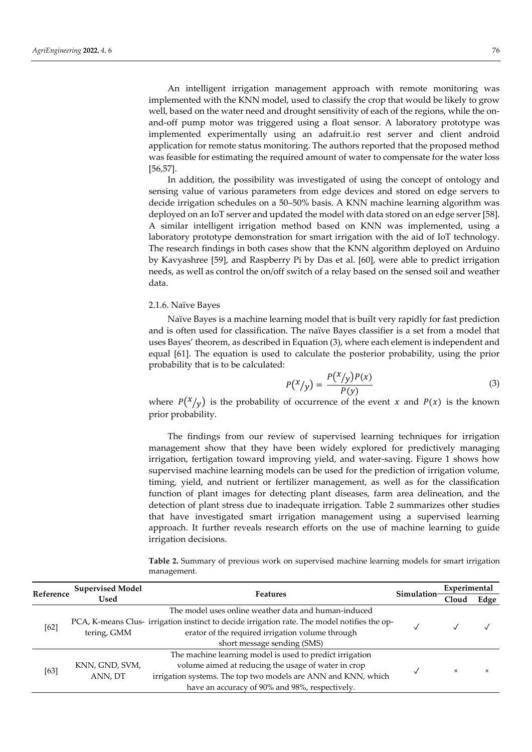An intelligent irrigation management approach with remote monitoring was implemented with the KNN model, used to classify the crop that would be likely to grow well, based on the water need and drought sensitivity of each of the regions, while the onand-off pump motor was triggered using a float sensor. A laboratory prototype was implemented experimentally using an adafruit.io rest server and client android application for remote status monitoring. The authors reported that the proposed method was feasible for estimating the required amount of water to compensate for the water loss [56,57].

In addition, the possibility was investigated of using the concept of ontology and sensing value of various parameters from edge devices and stored on edge servers to decide irrigation schedules on a 50–50% basis. A KNN machine learning algorithm was deployed on an IoT server and updated the model with data stored on an edge server [58]. A similar intelligent irrigation method based on KNN was implemented, using a laboratory prototype demonstration for smart irrigation with the aid of IoT technology. The research findings in both cases show that the KNN algorithm deployed on Arduino by Kavyashree [59], and Raspberry Pi by Das et al. [60], were able to predict irrigation needs, as well as control the on/off switch of a relay based on the sensed soil and weather data.

#### 2.1.6. Naïve Bayes

Naïve Bayes is a machine learning model that is built very rapidly for fast prediction and is often used for classification. The naïve Bayes classifier is a set from a model that uses Bayes' theorem, as described in Equation (3), where each element is independent and equal [61]. The equation is used to calculate the posterior probability, using the prior probability that is to be calculated:

$$
P(X/y) = \frac{P(X/y)P(x)}{P(y)}
$$
\n(3)

where  $P(\frac{x}{y})$  is the probability of occurrence of the event x and  $P(x)$  is the known prior probability.

The findings from our review of supervised learning techniques for irrigation management show that they have been widely explored for predictively managing irrigation, fertigation toward improving yield, and water-saving. Figure 1 shows how supervised machine learning models can be used for the prediction of irrigation volume, timing, yield, and nutrient or fertilizer management, as well as for the classification function of plant images for detecting plant diseases, farm area delineation, and the detection of plant stress due to inadequate irrigation. Table 2 summarizes other studies that have investigated smart irrigation management using a supervised learning approach. It further reveals research efforts on the use of machine learning to guide irrigation decisions.

| Reference | <b>Supervised Model</b>                                                                      |                                                               | Simulation | Experimental |          |
|-----------|----------------------------------------------------------------------------------------------|---------------------------------------------------------------|------------|--------------|----------|
|           | Used                                                                                         | <b>Features</b>                                               |            | Cloud        | Edge     |
|           |                                                                                              | The model uses online weather data and human-induced          |            |              |          |
| [62]      | PCA, K-means Clus- irrigation instinct to decide irrigation rate. The model notifies the op- |                                                               |            |              |          |
|           | tering, GMM                                                                                  | erator of the required irrigation volume through              |            |              |          |
|           |                                                                                              |                                                               |            |              |          |
|           |                                                                                              | The machine learning model is used to predict irrigation      |            |              |          |
| [63]      | KNN, GND, SVM,<br>ANN, DT                                                                    | volume aimed at reducing the usage of water in crop           |            | $\times$     | $\times$ |
|           |                                                                                              | irrigation systems. The top two models are ANN and KNN, which |            |              |          |
|           |                                                                                              | have an accuracy of 90% and 98%, respectively.                |            |              |          |

**Table 2.** Summary of previous work on supervised machine learning models for smart irrigation management.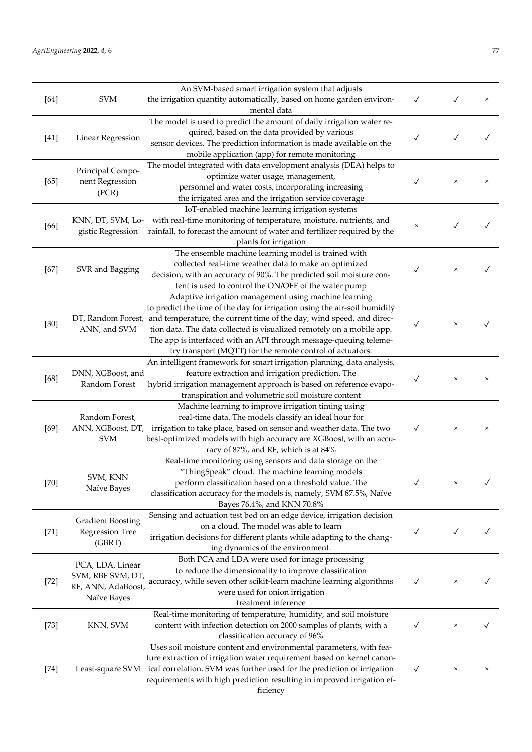| $[64]$ | <b>SVM</b>                         | An SVM-based smart irrigation system that adjusts<br>the irrigation quantity automatically, based on home garden environ-<br>mental data | $\checkmark$ |              | ×        |
|--------|------------------------------------|------------------------------------------------------------------------------------------------------------------------------------------|--------------|--------------|----------|
|        |                                    | The model is used to predict the amount of daily irrigation water re-                                                                    |              |              |          |
|        |                                    | quired, based on the data provided by various                                                                                            |              |              |          |
| $[41]$ | <b>Linear Regression</b>           | sensor devices. The prediction information is made available on the                                                                      | $\checkmark$ | $\checkmark$ |          |
|        |                                    |                                                                                                                                          |              |              |          |
|        |                                    | mobile application (app) for remote monitoring                                                                                           |              |              |          |
|        | Principal Compo-                   | The model integrated with data envelopment analysis (DEA) helps to                                                                       |              |              |          |
| $[65]$ | nent Regression                    | optimize water usage, management,                                                                                                        | $\checkmark$ | $\times$     | $\times$ |
|        | (PCR)                              | personnel and water costs, incorporating increasing                                                                                      |              |              |          |
|        |                                    | the irrigated area and the irrigation service coverage                                                                                   |              |              |          |
|        |                                    | IoT-enabled machine learning irrigation systems                                                                                          |              |              |          |
| [66]   | KNN, DT, SVM, Lo-                  | with real-time monitoring of temperature, moisture, nutrients, and                                                                       | $\times$     | $\checkmark$ |          |
|        | gistic Regression                  | rainfall, to forecast the amount of water and fertilizer required by the                                                                 |              |              |          |
|        |                                    | plants for irrigation                                                                                                                    |              |              |          |
|        |                                    | The ensemble machine learning model is trained with                                                                                      |              |              |          |
| $[67]$ | SVR and Bagging                    | collected real-time weather data to make an optimized                                                                                    | ✓            | ×            |          |
|        |                                    | decision, with an accuracy of 90%. The predicted soil moisture con-                                                                      |              |              |          |
|        |                                    | tent is used to control the ON/OFF of the water pump                                                                                     |              |              |          |
|        |                                    | Adaptive irrigation management using machine learning                                                                                    |              |              |          |
|        |                                    | to predict the time of the day for irrigation using the air-soil humidity                                                                |              |              |          |
|        | ANN, and SVM                       | DT, Random Forest, and temperature, the current time of the day, wind speed, and direc-                                                  | $\checkmark$ | $\times$     |          |
| $[30]$ |                                    | tion data. The data collected is visualized remotely on a mobile app.                                                                    |              |              |          |
|        |                                    | The app is interfaced with an API through message-queuing teleme-                                                                        |              |              |          |
|        |                                    | try transport (MQTT) for the remote control of actuators.                                                                                |              |              |          |
|        |                                    | An intelligent framework for smart irrigation planning, data analysis,                                                                   |              |              |          |
|        | DNN, XGBoost, and<br>Random Forest | feature extraction and irrigation prediction. The                                                                                        | $\checkmark$ | $\times$     | $\times$ |
| [68]   |                                    | hybrid irrigation management approach is based on reference evapo-                                                                       |              |              |          |
|        |                                    | transpiration and volumetric soil moisture content                                                                                       |              |              |          |
|        | Random Forest,                     | Machine learning to improve irrigation timing using                                                                                      |              |              |          |
|        |                                    | real-time data. The models classify an ideal hour for                                                                                    |              |              |          |
| $[69]$ |                                    | ANN, XGBoost, DT, irrigation to take place, based on sensor and weather data. The two                                                    | $\checkmark$ | $\times$     | ×        |
|        | <b>SVM</b>                         | best-optimized models with high accuracy are XGBoost, with an accu-                                                                      |              |              |          |
|        |                                    | racy of 87%, and RF, which is at 84%                                                                                                     |              |              |          |
|        |                                    | Real-time monitoring using sensors and data storage on the                                                                               |              |              |          |
|        |                                    | "ThingSpeak" cloud. The machine learning models                                                                                          |              |              |          |
| $[70]$ | <b>SVM. KNN</b>                    | perform classification based on a threshold value. The                                                                                   | $\checkmark$ | ×            |          |
|        | Naïve Bayes                        | classification accuracy for the models is, namely, SVM 87.5%, Naïve                                                                      |              |              |          |
|        |                                    | Bayes 76.4%, and KNN 70.8%                                                                                                               |              |              |          |
|        |                                    | Sensing and actuation test bed on an edge device, irrigation decision                                                                    |              |              |          |
|        | <b>Gradient Boosting</b>           | on a cloud. The model was able to learn                                                                                                  |              |              |          |
| $[71]$ | <b>Regression Tree</b>             | irrigation decisions for different plants while adapting to the chang-                                                                   | $\checkmark$ | $\checkmark$ |          |
|        | (GBRT)                             | ing dynamics of the environment.                                                                                                         |              |              |          |
|        |                                    | Both PCA and LDA were used for image processing                                                                                          |              |              |          |
|        | PCA, LDA, Linear                   | to reduce the dimensionality to improve classification                                                                                   |              |              |          |
| $[72]$ | SVM, RBF SVM, DT,                  | accuracy, while seven other scikit-learn machine learning algorithms                                                                     | $\checkmark$ | ×            |          |
|        | RF, ANN, AdaBoost,                 | were used for onion irrigation                                                                                                           |              |              |          |
|        | Naïve Bayes                        | treatment inference                                                                                                                      |              |              |          |
|        |                                    | Real-time monitoring of temperature, humidity, and soil moisture                                                                         |              |              |          |
| $[73]$ | KNN, SVM                           | content with infection detection on 2000 samples of plants, with a                                                                       | $\checkmark$ | ×            |          |
|        |                                    | classification accuracy of 96%                                                                                                           |              |              |          |
|        |                                    | Uses soil moisture content and environmental parameters, with fea-                                                                       |              |              |          |
|        |                                    | ture extraction of irrigation water requirement based on kernel canon-                                                                   |              |              |          |
| $[74]$ | Least-square SVM                   | ical correlation. SVM was further used for the prediction of irrigation                                                                  | $\checkmark$ | ×            | $\times$ |
|        |                                    | requirements with high prediction resulting in improved irrigation ef-                                                                   |              |              |          |
|        |                                    | ficiency                                                                                                                                 |              |              |          |
|        |                                    |                                                                                                                                          |              |              |          |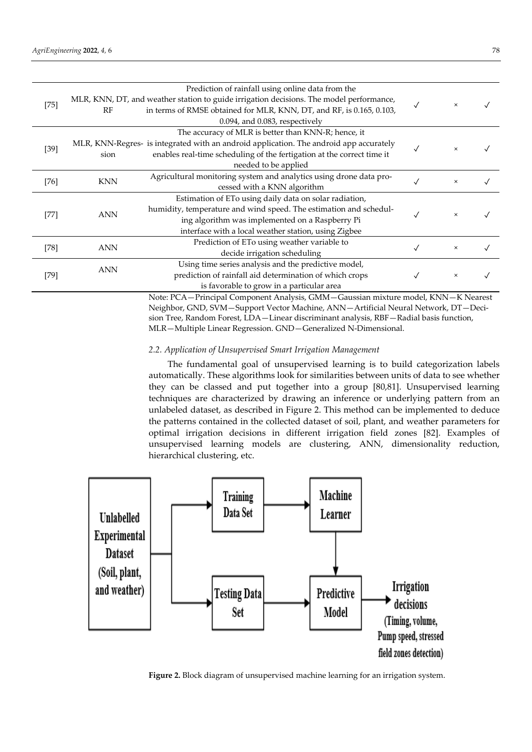| $[75]$ | RF         | Prediction of rainfall using online data from the<br>MLR, KNN, DT, and weather station to guide irrigation decisions. The model performance,<br>in terms of RMSE obtained for MLR, KNN, DT, and RF, is 0.165, 0.103,<br>$0.094$ , and $0.083$ , respectively |   | $\times$ |  |
|--------|------------|--------------------------------------------------------------------------------------------------------------------------------------------------------------------------------------------------------------------------------------------------------------|---|----------|--|
| $[39]$ | sion       | The accuracy of MLR is better than KNN-R; hence, it<br>MLR, KNN-Regres- is integrated with an android application. The android app accurately<br>enables real-time scheduling of the fertigation at the correct time it<br>needed to be applied              |   | ×        |  |
| $[76]$ | <b>KNN</b> | Agricultural monitoring system and analytics using drone data pro-<br>cessed with a KNN algorithm                                                                                                                                                            |   | $\times$ |  |
| $[77]$ | <b>ANN</b> | Estimation of ETo using daily data on solar radiation,<br>humidity, temperature and wind speed. The estimation and schedul-<br>ing algorithm was implemented on a Raspberry Pi<br>interface with a local weather station, using Zigbee                       | √ | $\times$ |  |
| $[78]$ | <b>ANN</b> | Prediction of ETo using weather variable to<br>decide irrigation scheduling                                                                                                                                                                                  |   | $\times$ |  |
| [79]   | <b>ANN</b> | Using time series analysis and the predictive model,<br>prediction of rainfall aid determination of which crops<br>is favorable to grow in a particular area                                                                                                 |   | $\times$ |  |

Note: PCA—Principal Component Analysis, GMM—Gaussian mixture model, KNN—K Nearest Neighbor, GND, SVM—Support Vector Machine, ANN—Artificial Neural Network, DT—Decision Tree, Random Forest, LDA—Linear discriminant analysis, RBF—Radial basis function, MLR—Multiple Linear Regression. GND—Generalized N-Dimensional.

## *2.2. Application of Unsupervised Smart Irrigation Management*

The fundamental goal of unsupervised learning is to build categorization labels automatically. These algorithms look for similarities between units of data to see whether they can be classed and put together into a group [80,81]. Unsupervised learning techniques are characterized by drawing an inference or underlying pattern from an unlabeled dataset, as described in Figure 2. This method can be implemented to deduce the patterns contained in the collected dataset of soil, plant, and weather parameters for optimal irrigation decisions in different irrigation field zones [82]. Examples of unsupervised learning models are clustering, ANN, dimensionality reduction, hierarchical clustering, etc.



**Figure 2.** Block diagram of unsupervised machine learning for an irrigation system.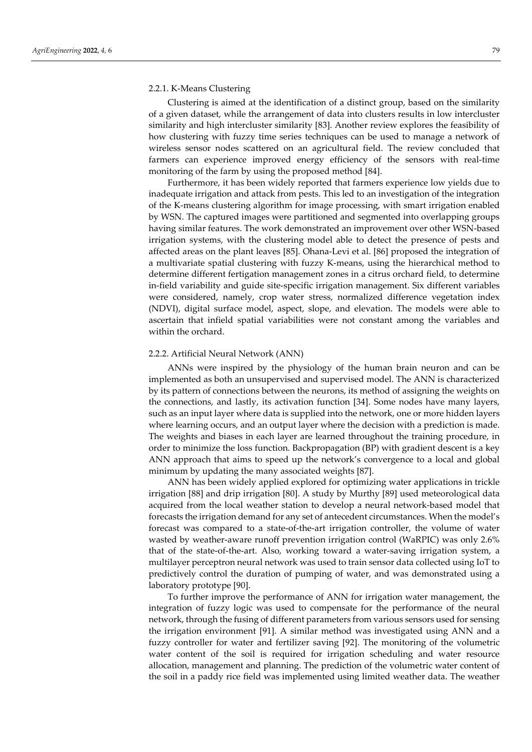#### 2.2.1. K-Means Clustering

Clustering is aimed at the identification of a distinct group, based on the similarity of a given dataset, while the arrangement of data into clusters results in low intercluster similarity and high intercluster similarity [83]. Another review explores the feasibility of how clustering with fuzzy time series techniques can be used to manage a network of wireless sensor nodes scattered on an agricultural field. The review concluded that farmers can experience improved energy efficiency of the sensors with real-time monitoring of the farm by using the proposed method [84].

Furthermore, it has been widely reported that farmers experience low yields due to inadequate irrigation and attack from pests. This led to an investigation of the integration of the K-means clustering algorithm for image processing, with smart irrigation enabled by WSN. The captured images were partitioned and segmented into overlapping groups having similar features. The work demonstrated an improvement over other WSN-based irrigation systems, with the clustering model able to detect the presence of pests and affected areas on the plant leaves [85]. Ohana-Levi et al. [86] proposed the integration of a multivariate spatial clustering with fuzzy K-means, using the hierarchical method to determine different fertigation management zones in a citrus orchard field, to determine in-field variability and guide site-specific irrigation management. Six different variables were considered, namely, crop water stress, normalized difference vegetation index (NDVI), digital surface model, aspect, slope, and elevation. The models were able to ascertain that infield spatial variabilities were not constant among the variables and within the orchard.

## 2.2.2. Artificial Neural Network (ANN)

ANNs were inspired by the physiology of the human brain neuron and can be implemented as both an unsupervised and supervised model. The ANN is characterized by its pattern of connections between the neurons, its method of assigning the weights on the connections, and lastly, its activation function [34]. Some nodes have many layers, such as an input layer where data is supplied into the network, one or more hidden layers where learning occurs, and an output layer where the decision with a prediction is made. The weights and biases in each layer are learned throughout the training procedure, in order to minimize the loss function. Backpropagation (BP) with gradient descent is a key ANN approach that aims to speed up the network's convergence to a local and global minimum by updating the many associated weights [87].

ANN has been widely applied explored for optimizing water applications in trickle irrigation [88] and drip irrigation [80]. A study by Murthy [89] used meteorological data acquired from the local weather station to develop a neural network-based model that forecasts the irrigation demand for any set of antecedent circumstances. When the model's forecast was compared to a state-of-the-art irrigation controller, the volume of water wasted by weather-aware runoff prevention irrigation control (WaRPIC) was only 2.6% that of the state-of-the-art. Also, working toward a water-saving irrigation system, a multilayer perceptron neural network was used to train sensor data collected using IoT to predictively control the duration of pumping of water, and was demonstrated using a laboratory prototype [90].

To further improve the performance of ANN for irrigation water management, the integration of fuzzy logic was used to compensate for the performance of the neural network, through the fusing of different parameters from various sensors used for sensing the irrigation environment [91]. A similar method was investigated using ANN and a fuzzy controller for water and fertilizer saving [92]. The monitoring of the volumetric water content of the soil is required for irrigation scheduling and water resource allocation, management and planning. The prediction of the volumetric water content of the soil in a paddy rice field was implemented using limited weather data. The weather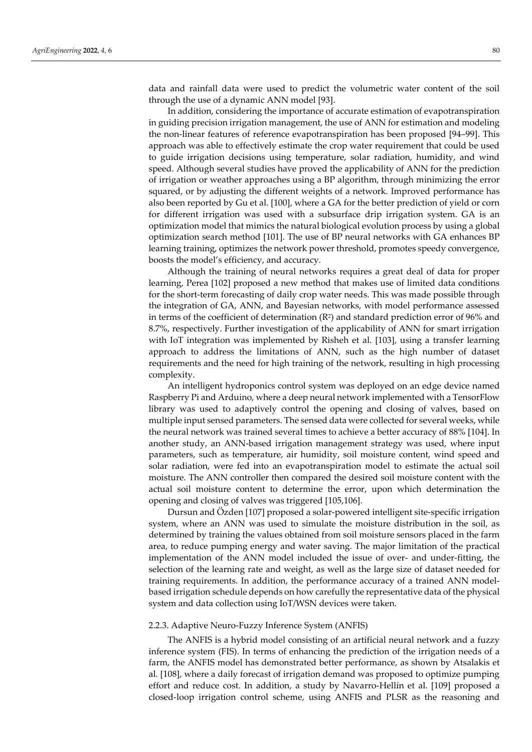data and rainfall data were used to predict the volumetric water content of the soil through the use of a dynamic ANN model [93].

In addition, considering the importance of accurate estimation of evapotranspiration in guiding precision irrigation management, the use of ANN for estimation and modeling the non-linear features of reference evapotranspiration has been proposed [94–99]. This approach was able to effectively estimate the crop water requirement that could be used to guide irrigation decisions using temperature, solar radiation, humidity, and wind speed. Although several studies have proved the applicability of ANN for the prediction of irrigation or weather approaches using a BP algorithm, through minimizing the error squared, or by adjusting the different weights of a network. Improved performance has also been reported by Gu et al. [100], where a GA for the better prediction of yield or corn for different irrigation was used with a subsurface drip irrigation system. GA is an optimization model that mimics the natural biological evolution process by using a global optimization search method [101]. The use of BP neural networks with GA enhances BP learning training, optimizes the network power threshold, promotes speedy convergence, boosts the model's efficiency, and accuracy.

Although the training of neural networks requires a great deal of data for proper learning, Perea [102] proposed a new method that makes use of limited data conditions for the short-term forecasting of daily crop water needs. This was made possible through the integration of GA, ANN, and Bayesian networks, with model performance assessed in terms of the coefficient of determination  $(R^2)$  and standard prediction error of 96% and 8.7%, respectively. Further investigation of the applicability of ANN for smart irrigation with IoT integration was implemented by Risheh et al. [103], using a transfer learning approach to address the limitations of ANN, such as the high number of dataset requirements and the need for high training of the network, resulting in high processing complexity.

An intelligent hydroponics control system was deployed on an edge device named Raspberry Pi and Arduino, where a deep neural network implemented with a TensorFlow library was used to adaptively control the opening and closing of valves, based on multiple input sensed parameters. The sensed data were collected for several weeks, while the neural network was trained several times to achieve a better accuracy of 88% [104]. In another study, an ANN-based irrigation management strategy was used, where input parameters, such as temperature, air humidity, soil moisture content, wind speed and solar radiation, were fed into an evapotranspiration model to estimate the actual soil moisture. The ANN controller then compared the desired soil moisture content with the actual soil moisture content to determine the error, upon which determination the opening and closing of valves was triggered [105,106].

Dursun and Özden [107] proposed a solar-powered intelligent site-specific irrigation system, where an ANN was used to simulate the moisture distribution in the soil, as determined by training the values obtained from soil moisture sensors placed in the farm area, to reduce pumping energy and water saving. The major limitation of the practical implementation of the ANN model included the issue of over- and under-fitting, the selection of the learning rate and weight, as well as the large size of dataset needed for training requirements. In addition, the performance accuracy of a trained ANN modelbased irrigation schedule depends on how carefully the representative data of the physical system and data collection using IoT/WSN devices were taken.

#### 2.2.3. Adaptive Neuro-Fuzzy Inference System (ANFIS)

The ANFIS is a hybrid model consisting of an artificial neural network and a fuzzy inference system (FIS). In terms of enhancing the prediction of the irrigation needs of a farm, the ANFIS model has demonstrated better performance, as shown by Atsalakis et al. [108], where a daily forecast of irrigation demand was proposed to optimize pumping effort and reduce cost. In addition, a study by Navarro-Hellín et al. [109] proposed a closed-loop irrigation control scheme, using ANFIS and PLSR as the reasoning and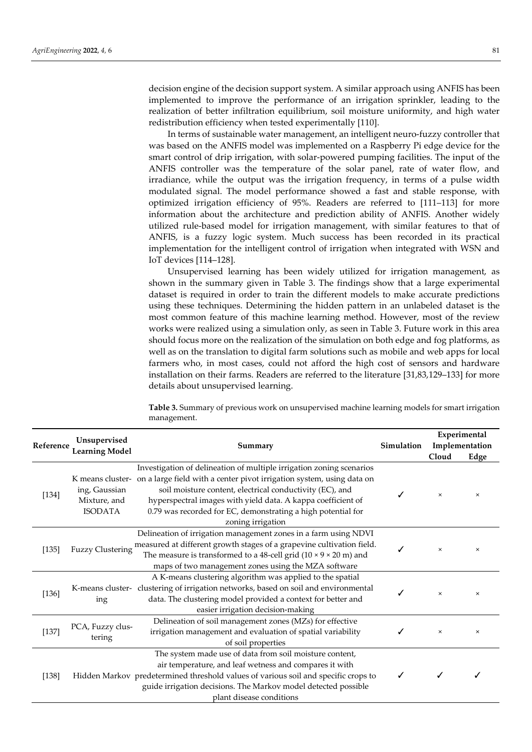decision engine of the decision support system. A similar approach using ANFIS has been implemented to improve the performance of an irrigation sprinkler, leading to the realization of better infiltration equilibrium, soil moisture uniformity, and high water redistribution efficiency when tested experimentally [110].

In terms of sustainable water management, an intelligent neuro-fuzzy controller that was based on the ANFIS model was implemented on a Raspberry Pi edge device for the smart control of drip irrigation, with solar-powered pumping facilities. The input of the ANFIS controller was the temperature of the solar panel, rate of water flow, and irradiance, while the output was the irrigation frequency, in terms of a pulse width modulated signal. The model performance showed a fast and stable response, with optimized irrigation efficiency of 95%. Readers are referred to [111–113] for more information about the architecture and prediction ability of ANFIS. Another widely utilized rule-based model for irrigation management, with similar features to that of ANFIS, is a fuzzy logic system. Much success has been recorded in its practical implementation for the intelligent control of irrigation when integrated with WSN and IoT devices [114–128].

Unsupervised learning has been widely utilized for irrigation management, as shown in the summary given in Table 3. The findings show that a large experimental dataset is required in order to train the different models to make accurate predictions using these techniques. Determining the hidden pattern in an unlabeled dataset is the most common feature of this machine learning method. However, most of the review works were realized using a simulation only, as seen in Table 3. Future work in this area should focus more on the realization of the simulation on both edge and fog platforms, as well as on the translation to digital farm solutions such as mobile and web apps for local farmers who, in most cases, could not afford the high cost of sensors and hardware installation on their farms. Readers are referred to the literature [31,83,129–133] for more details about unsupervised learning.

| Reference | Unsupervised<br><b>Learning Model</b>           | Summary                                                                                                                                                                                                                                                                                                                                                                         | <b>Simulation</b> | Cloud    | Experimental<br>Implementation<br>Edge |
|-----------|-------------------------------------------------|---------------------------------------------------------------------------------------------------------------------------------------------------------------------------------------------------------------------------------------------------------------------------------------------------------------------------------------------------------------------------------|-------------------|----------|----------------------------------------|
| $[134]$   | ing, Gaussian<br>Mixture, and<br><b>ISODATA</b> | Investigation of delineation of multiple irrigation zoning scenarios<br>K means cluster- on a large field with a center pivot irrigation system, using data on<br>soil moisture content, electrical conductivity (EC), and<br>hyperspectral images with yield data. A kappa coefficient of<br>0.79 was recorded for EC, demonstrating a high potential for<br>zoning irrigation |                   | $\times$ | $\times$                               |
| [135]     | <b>Fuzzy Clustering</b>                         | Delineation of irrigation management zones in a farm using NDVI<br>measured at different growth stages of a grapevine cultivation field.<br>The measure is transformed to a 48-cell grid $(10 \times 9 \times 20 \text{ m})$ and<br>maps of two management zones using the MZA software                                                                                         |                   | $\times$ | $\times$                               |
| [136]     | ing                                             | A K-means clustering algorithm was applied to the spatial<br>K-means cluster-clustering of irrigation networks, based on soil and environmental<br>data. The clustering model provided a context for better and<br>easier irrigation decision-making                                                                                                                            |                   | $\times$ | $\times$                               |
| [137]     | PCA, Fuzzy clus-<br>tering                      | Delineation of soil management zones (MZs) for effective<br>irrigation management and evaluation of spatial variability<br>of soil properties                                                                                                                                                                                                                                   |                   | $\times$ | $\times$                               |
| [138]     |                                                 | The system made use of data from soil moisture content,<br>air temperature, and leaf wetness and compares it with<br>Hidden Markov predetermined threshold values of various soil and specific crops to<br>guide irrigation decisions. The Markov model detected possible<br>plant disease conditions                                                                           |                   |          |                                        |

**Table 3.** Summary of previous work on unsupervised machine learning models for smart irrigation management.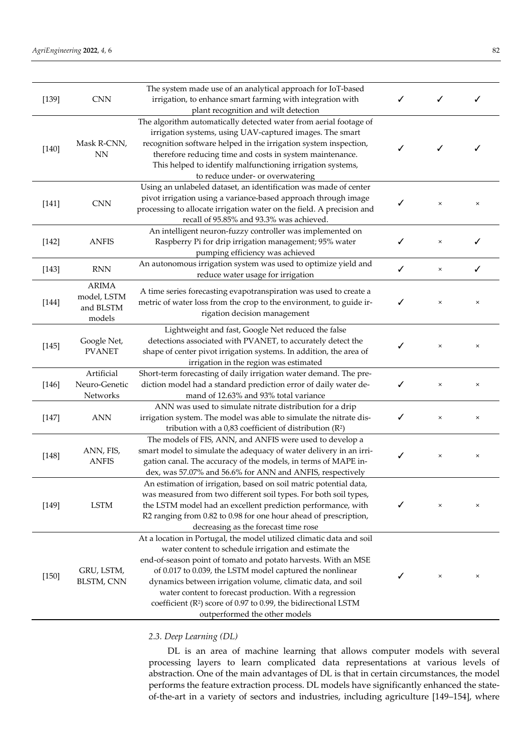| [139]   | <b>CNN</b>                                         | The system made use of an analytical approach for IoT-based<br>irrigation, to enhance smart farming with integration with<br>plant recognition and wilt detection                                                                                                                                                                                                                                                                                                                             | ✓ |          |          |
|---------|----------------------------------------------------|-----------------------------------------------------------------------------------------------------------------------------------------------------------------------------------------------------------------------------------------------------------------------------------------------------------------------------------------------------------------------------------------------------------------------------------------------------------------------------------------------|---|----------|----------|
| $[140]$ | Mask R-CNN,<br><b>NN</b>                           | The algorithm automatically detected water from aerial footage of<br>irrigation systems, using UAV-captured images. The smart<br>recognition software helped in the irrigation system inspection,<br>therefore reducing time and costs in system maintenance.<br>This helped to identify malfunctioning irrigation systems,<br>to reduce under- or overwatering                                                                                                                               |   | ✓        | ✓        |
| $[141]$ | <b>CNN</b>                                         | Using an unlabeled dataset, an identification was made of center<br>pivot irrigation using a variance-based approach through image<br>processing to allocate irrigation water on the field. A precision and<br>recall of 95.85% and 93.3% was achieved.                                                                                                                                                                                                                                       |   | $\times$ | $\times$ |
| $[142]$ | <b>ANFIS</b>                                       | An intelligent neuron-fuzzy controller was implemented on<br>Raspberry Pi for drip irrigation management; 95% water<br>pumping efficiency was achieved                                                                                                                                                                                                                                                                                                                                        | ✓ | $\times$ | ✓        |
| $[143]$ | <b>RNN</b>                                         | An autonomous irrigation system was used to optimize yield and<br>reduce water usage for irrigation                                                                                                                                                                                                                                                                                                                                                                                           | ✓ | $\times$ | ✓        |
| $[144]$ | <b>ARIMA</b><br>model, LSTM<br>and BLSTM<br>models | A time series forecasting evapotranspiration was used to create a<br>metric of water loss from the crop to the environment, to guide ir-<br>rigation decision management                                                                                                                                                                                                                                                                                                                      | ✓ | $\times$ | $\times$ |
| $[145]$ | Google Net,<br><b>PVANET</b>                       | Lightweight and fast, Google Net reduced the false<br>detections associated with PVANET, to accurately detect the<br>shape of center pivot irrigation systems. In addition, the area of<br>irrigation in the region was estimated                                                                                                                                                                                                                                                             |   | $\times$ | $\times$ |
| $[146]$ | Artificial<br>Neuro-Genetic<br>Networks            | Short-term forecasting of daily irrigation water demand. The pre-<br>diction model had a standard prediction error of daily water de-<br>mand of 12.63% and 93% total variance                                                                                                                                                                                                                                                                                                                | ✓ | $\times$ | $\times$ |
| $[147]$ | <b>ANN</b>                                         | ANN was used to simulate nitrate distribution for a drip<br>irrigation system. The model was able to simulate the nitrate dis-<br>tribution with a 0,83 coefficient of distribution (R <sup>2</sup> )                                                                                                                                                                                                                                                                                         |   | $\times$ | $\times$ |
| $[148]$ | ANN, FIS,<br><b>ANFIS</b>                          | The models of FIS, ANN, and ANFIS were used to develop a<br>smart model to simulate the adequacy of water delivery in an irri-<br>gation canal. The accuracy of the models, in terms of MAPE in-<br>dex, was 57.07% and 56.6% for ANN and ANFIS, respectively                                                                                                                                                                                                                                 | ✓ | $\times$ | $\times$ |
| $[149]$ | <b>LSTM</b>                                        | An estimation of irrigation, based on soil matric potential data,<br>was measured from two different soil types. For both soil types,<br>the LSTM model had an excellent prediction performance, with<br>R2 ranging from 0.82 to 0.98 for one hour ahead of prescription,<br>decreasing as the forecast time rose                                                                                                                                                                             | ✓ | ×        | $\times$ |
| $[150]$ | GRU, LSTM,<br><b>BLSTM, CNN</b>                    | At a location in Portugal, the model utilized climatic data and soil<br>water content to schedule irrigation and estimate the<br>end-of-season point of tomato and potato harvests. With an MSE<br>of 0.017 to 0.039, the LSTM model captured the nonlinear<br>dynamics between irrigation volume, climatic data, and soil<br>water content to forecast production. With a regression<br>coefficient ( $R^2$ ) score of 0.97 to 0.99, the bidirectional LSTM<br>outperformed the other models |   | ×        | $\times$ |

## *2.3. Deep Learning (DL)*

DL is an area of machine learning that allows computer models with several processing layers to learn complicated data representations at various levels of abstraction. One of the main advantages of DL is that in certain circumstances, the model performs the feature extraction process. DL models have significantly enhanced the stateof-the-art in a variety of sectors and industries, including agriculture [149–154], where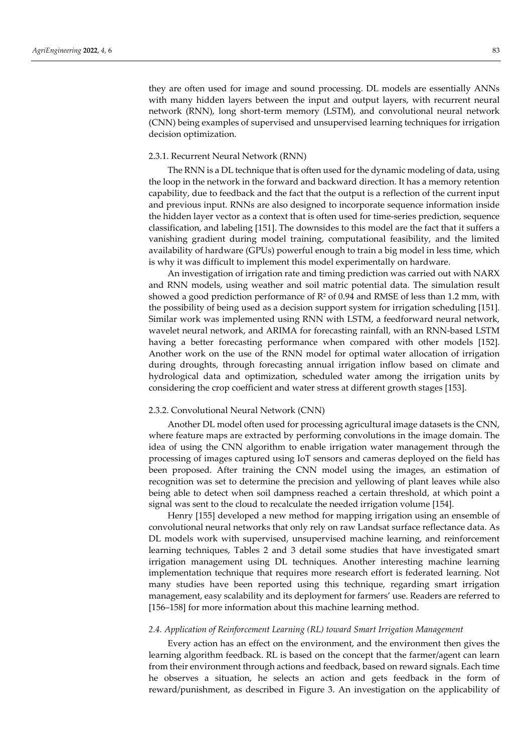they are often used for image and sound processing. DL models are essentially ANNs with many hidden layers between the input and output layers, with recurrent neural network (RNN), long short-term memory (LSTM), and convolutional neural network (CNN) being examples of supervised and unsupervised learning techniques for irrigation decision optimization.

## 2.3.1. Recurrent Neural Network (RNN)

The RNN is a DL technique that is often used for the dynamic modeling of data, using the loop in the network in the forward and backward direction. It has a memory retention capability, due to feedback and the fact that the output is a reflection of the current input and previous input. RNNs are also designed to incorporate sequence information inside the hidden layer vector as a context that is often used for time-series prediction, sequence classification, and labeling [151]. The downsides to this model are the fact that it suffers a vanishing gradient during model training, computational feasibility, and the limited availability of hardware (GPUs) powerful enough to train a big model in less time, which is why it was difficult to implement this model experimentally on hardware.

An investigation of irrigation rate and timing prediction was carried out with NARX and RNN models, using weather and soil matric potential data. The simulation result showed a good prediction performance of  $R^2$  of 0.94 and RMSE of less than 1.2 mm, with the possibility of being used as a decision support system for irrigation scheduling [151]. Similar work was implemented using RNN with LSTM, a feedforward neural network, wavelet neural network, and ARIMA for forecasting rainfall, with an RNN-based LSTM having a better forecasting performance when compared with other models [152]. Another work on the use of the RNN model for optimal water allocation of irrigation during droughts, through forecasting annual irrigation inflow based on climate and hydrological data and optimization, scheduled water among the irrigation units by considering the crop coefficient and water stress at different growth stages [153].

## 2.3.2. Convolutional Neural Network (CNN)

Another DL model often used for processing agricultural image datasets is the CNN, where feature maps are extracted by performing convolutions in the image domain. The idea of using the CNN algorithm to enable irrigation water management through the processing of images captured using IoT sensors and cameras deployed on the field has been proposed. After training the CNN model using the images, an estimation of recognition was set to determine the precision and yellowing of plant leaves while also being able to detect when soil dampness reached a certain threshold, at which point a signal was sent to the cloud to recalculate the needed irrigation volume [154].

Henry [155] developed a new method for mapping irrigation using an ensemble of convolutional neural networks that only rely on raw Landsat surface reflectance data. As DL models work with supervised, unsupervised machine learning, and reinforcement learning techniques, Tables 2 and 3 detail some studies that have investigated smart irrigation management using DL techniques. Another interesting machine learning implementation technique that requires more research effort is federated learning. Not many studies have been reported using this technique, regarding smart irrigation management, easy scalability and its deployment for farmers' use. Readers are referred to [156–158] for more information about this machine learning method.

## *2.4. Application of Reinforcement Learning (RL) toward Smart Irrigation Management*

Every action has an effect on the environment, and the environment then gives the learning algorithm feedback. RL is based on the concept that the farmer/agent can learn from their environment through actions and feedback, based on reward signals. Each time he observes a situation, he selects an action and gets feedback in the form of reward/punishment, as described in Figure 3. An investigation on the applicability of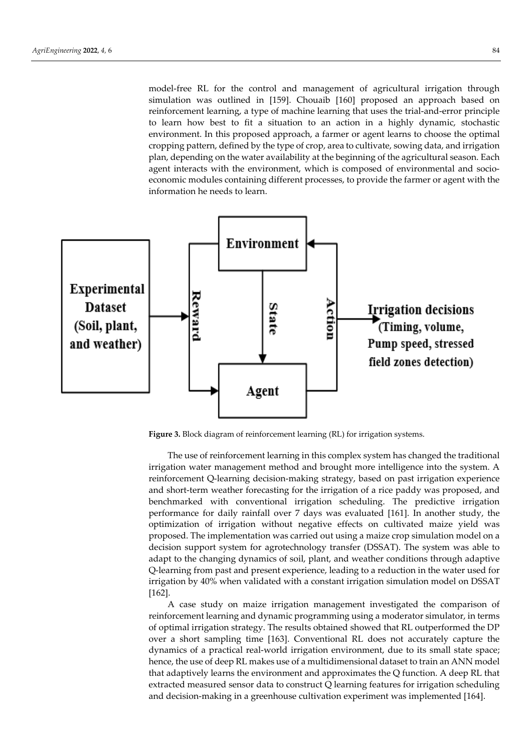model-free RL for the control and management of agricultural irrigation through simulation was outlined in [159]. Chouaib [160] proposed an approach based on reinforcement learning, a type of machine learning that uses the trial-and-error principle to learn how best to fit a situation to an action in a highly dynamic, stochastic environment. In this proposed approach, a farmer or agent learns to choose the optimal cropping pattern, defined by the type of crop, area to cultivate, sowing data, and irrigation plan, depending on the water availability at the beginning of the agricultural season. Each agent interacts with the environment, which is composed of environmental and socioeconomic modules containing different processes, to provide the farmer or agent with the information he needs to learn.



Figure 3. Block diagram of reinforcement learning (RL) for irrigation systems.

The use of reinforcement learning in this complex system has changed the traditional irrigation water management method and brought more intelligence into the system. A reinforcement Q-learning decision-making strategy, based on past irrigation experience and short-term weather forecasting for the irrigation of a rice paddy was proposed, and benchmarked with conventional irrigation scheduling. The predictive irrigation performance for daily rainfall over 7 days was evaluated [161]. In another study, the optimization of irrigation without negative effects on cultivated maize yield was proposed. The implementation was carried out using a maize crop simulation model on a decision support system for agrotechnology transfer (DSSAT). The system was able to adapt to the changing dynamics of soil, plant, and weather conditions through adaptive Q-learning from past and present experience, leading to a reduction in the water used for irrigation by 40% when validated with a constant irrigation simulation model on DSSAT [162].

A case study on maize irrigation management investigated the comparison of reinforcement learning and dynamic programming using a moderator simulator, in terms of optimal irrigation strategy. The results obtained showed that RL outperformed the DP over a short sampling time [163]. Conventional RL does not accurately capture the dynamics of a practical real-world irrigation environment, due to its small state space; hence, the use of deep RL makes use of a multidimensional dataset to train an ANN model that adaptively learns the environment and approximates the Q function. A deep RL that extracted measured sensor data to construct Q learning features for irrigation scheduling and decision-making in a greenhouse cultivation experiment was implemented [164].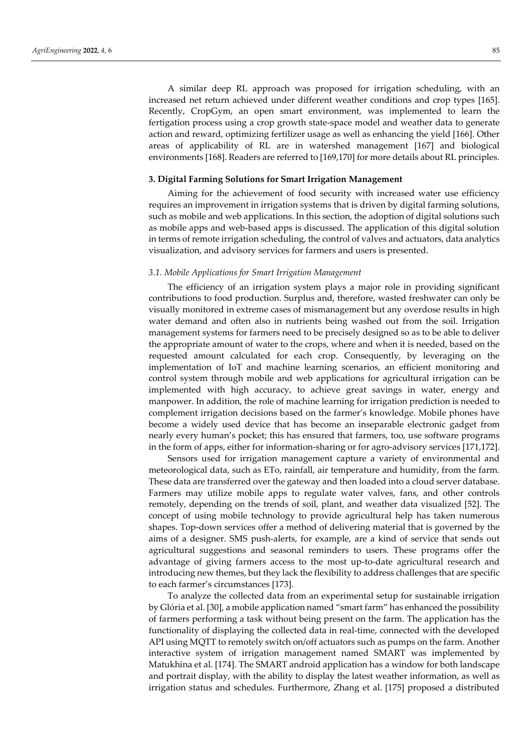A similar deep RL approach was proposed for irrigation scheduling, with an increased net return achieved under different weather conditions and crop types [165]. Recently, CropGym, an open smart environment, was implemented to learn the fertigation process using a crop growth state-space model and weather data to generate action and reward, optimizing fertilizer usage as well as enhancing the yield [166]. Other areas of applicability of RL are in watershed management [167] and biological environments [168]. Readers are referred to [169,170] for more details about RL principles.

## **3. Digital Farming Solutions for Smart Irrigation Management**

Aiming for the achievement of food security with increased water use efficiency requires an improvement in irrigation systems that is driven by digital farming solutions, such as mobile and web applications. In this section, the adoption of digital solutions such as mobile apps and web-based apps is discussed. The application of this digital solution in terms of remote irrigation scheduling, the control of valves and actuators, data analytics visualization, and advisory services for farmers and users is presented.

## *3.1. Mobile Applications for Smart Irrigation Management*

The efficiency of an irrigation system plays a major role in providing significant contributions to food production. Surplus and, therefore, wasted freshwater can only be visually monitored in extreme cases of mismanagement but any overdose results in high water demand and often also in nutrients being washed out from the soil. Irrigation management systems for farmers need to be precisely designed so as to be able to deliver the appropriate amount of water to the crops, where and when it is needed, based on the requested amount calculated for each crop. Consequently, by leveraging on the implementation of IoT and machine learning scenarios, an efficient monitoring and control system through mobile and web applications for agricultural irrigation can be implemented with high accuracy, to achieve great savings in water, energy and manpower. In addition, the role of machine learning for irrigation prediction is needed to complement irrigation decisions based on the farmer's knowledge. Mobile phones have become a widely used device that has become an inseparable electronic gadget from nearly every human's pocket; this has ensured that farmers, too, use software programs in the form of apps, either for information-sharing or for agro-advisory services [171,172].

Sensors used for irrigation management capture a variety of environmental and meteorological data, such as ETo, rainfall, air temperature and humidity, from the farm. These data are transferred over the gateway and then loaded into a cloud server database. Farmers may utilize mobile apps to regulate water valves, fans, and other controls remotely, depending on the trends of soil, plant, and weather data visualized [52]. The concept of using mobile technology to provide agricultural help has taken numerous shapes. Top-down services offer a method of delivering material that is governed by the aims of a designer. SMS push-alerts, for example, are a kind of service that sends out agricultural suggestions and seasonal reminders to users. These programs offer the advantage of giving farmers access to the most up-to-date agricultural research and introducing new themes, but they lack the flexibility to address challenges that are specific to each farmer's circumstances [173].

To analyze the collected data from an experimental setup for sustainable irrigation by Glória et al. [30], a mobile application named "smart farm" has enhanced the possibility of farmers performing a task without being present on the farm. The application has the functionality of displaying the collected data in real-time, connected with the developed API using MQTT to remotely switch on/off actuators such as pumps on the farm. Another interactive system of irrigation management named SMART was implemented by Matukhina et al. [174]. The SMART android application has a window for both landscape and portrait display, with the ability to display the latest weather information, as well as irrigation status and schedules. Furthermore, Zhang et al. [175] proposed a distributed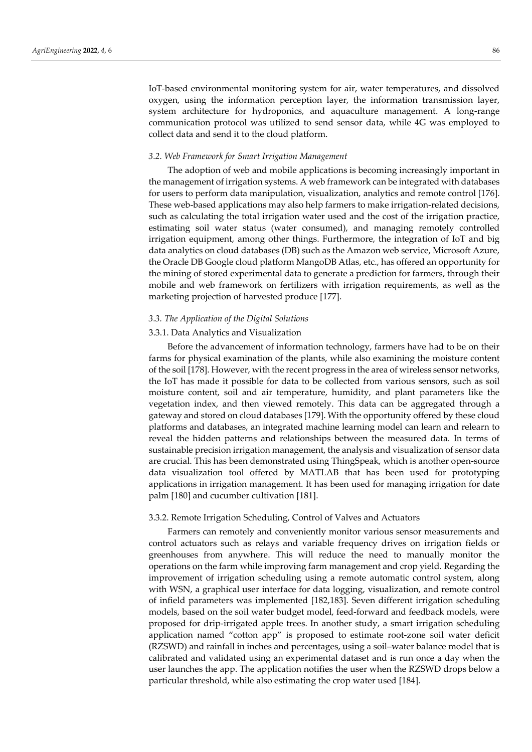IoT-based environmental monitoring system for air, water temperatures, and dissolved oxygen, using the information perception layer, the information transmission layer, system architecture for hydroponics, and aquaculture management. A long-range communication protocol was utilized to send sensor data, while 4G was employed to collect data and send it to the cloud platform.

#### *3.2. Web Framework for Smart Irrigation Management*

The adoption of web and mobile applications is becoming increasingly important in the management of irrigation systems. A web framework can be integrated with databases for users to perform data manipulation, visualization, analytics and remote control [176]. These web-based applications may also help farmers to make irrigation-related decisions, such as calculating the total irrigation water used and the cost of the irrigation practice, estimating soil water status (water consumed), and managing remotely controlled irrigation equipment, among other things. Furthermore, the integration of IoT and big data analytics on cloud databases (DB) such as the Amazon web service, Microsoft Azure, the Oracle DB Google cloud platform MangoDB Atlas, etc., has offered an opportunity for the mining of stored experimental data to generate a prediction for farmers, through their mobile and web framework on fertilizers with irrigation requirements, as well as the marketing projection of harvested produce [177].

## *3.3. The Application of the Digital Solutions*

## 3.3.1. Data Analytics and Visualization

Before the advancement of information technology, farmers have had to be on their farms for physical examination of the plants, while also examining the moisture content of the soil [178]. However, with the recent progress in the area of wireless sensor networks, the IoT has made it possible for data to be collected from various sensors, such as soil moisture content, soil and air temperature, humidity, and plant parameters like the vegetation index, and then viewed remotely. This data can be aggregated through a gateway and stored on cloud databases [179]. With the opportunity offered by these cloud platforms and databases, an integrated machine learning model can learn and relearn to reveal the hidden patterns and relationships between the measured data. In terms of sustainable precision irrigation management, the analysis and visualization of sensor data are crucial. This has been demonstrated using ThingSpeak, which is another open-source data visualization tool offered by MATLAB that has been used for prototyping applications in irrigation management. It has been used for managing irrigation for date palm [180] and cucumber cultivation [181].

#### 3.3.2. Remote Irrigation Scheduling, Control of Valves and Actuators

Farmers can remotely and conveniently monitor various sensor measurements and control actuators such as relays and variable frequency drives on irrigation fields or greenhouses from anywhere. This will reduce the need to manually monitor the operations on the farm while improving farm management and crop yield. Regarding the improvement of irrigation scheduling using a remote automatic control system, along with WSN, a graphical user interface for data logging, visualization, and remote control of infield parameters was implemented [182,183]. Seven different irrigation scheduling models, based on the soil water budget model, feed-forward and feedback models, were proposed for drip-irrigated apple trees. In another study, a smart irrigation scheduling application named "cotton app" is proposed to estimate root-zone soil water deficit (RZSWD) and rainfall in inches and percentages, using a soil–water balance model that is calibrated and validated using an experimental dataset and is run once a day when the user launches the app. The application notifies the user when the RZSWD drops below a particular threshold, while also estimating the crop water used [184].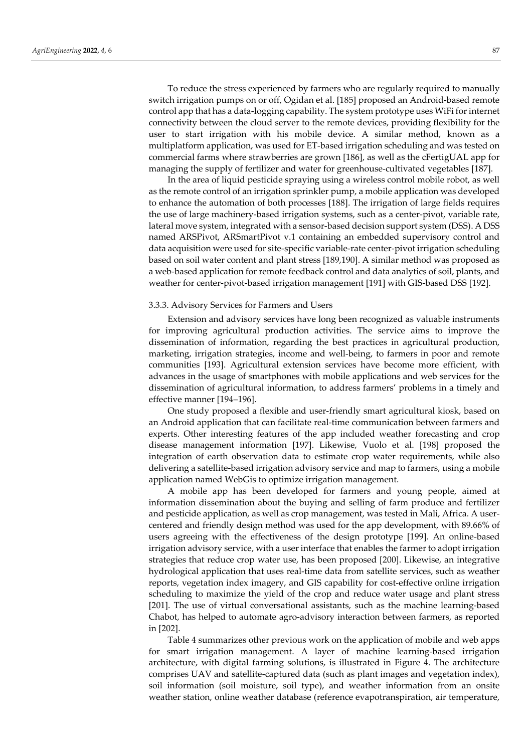To reduce the stress experienced by farmers who are regularly required to manually switch irrigation pumps on or off, Ogidan et al. [185] proposed an Android-based remote control app that has a data-logging capability. The system prototype uses WiFi for internet connectivity between the cloud server to the remote devices, providing flexibility for the user to start irrigation with his mobile device. A similar method, known as a multiplatform application, was used for ET-based irrigation scheduling and was tested on commercial farms where strawberries are grown [186], as well as the cFertigUAL app for managing the supply of fertilizer and water for greenhouse-cultivated vegetables [187].

In the area of liquid pesticide spraying using a wireless control mobile robot, as well as the remote control of an irrigation sprinkler pump, a mobile application was developed to enhance the automation of both processes [188]. The irrigation of large fields requires the use of large machinery-based irrigation systems, such as a center-pivot, variable rate, lateral move system, integrated with a sensor-based decision support system (DSS). A DSS named ARSPivot, ARSmartPivot v.1 containing an embedded supervisory control and data acquisition were used for site-specific variable-rate center-pivot irrigation scheduling based on soil water content and plant stress [189,190]. A similar method was proposed as a web-based application for remote feedback control and data analytics of soil, plants, and weather for center-pivot-based irrigation management [191] with GIS-based DSS [192].

#### 3.3.3. Advisory Services for Farmers and Users

Extension and advisory services have long been recognized as valuable instruments for improving agricultural production activities. The service aims to improve the dissemination of information, regarding the best practices in agricultural production, marketing, irrigation strategies, income and well-being, to farmers in poor and remote communities [193]. Agricultural extension services have become more efficient, with advances in the usage of smartphones with mobile applications and web services for the dissemination of agricultural information, to address farmers' problems in a timely and effective manner [194–196].

One study proposed a flexible and user-friendly smart agricultural kiosk, based on an Android application that can facilitate real-time communication between farmers and experts. Other interesting features of the app included weather forecasting and crop disease management information [197]. Likewise, Vuolo et al. [198] proposed the integration of earth observation data to estimate crop water requirements, while also delivering a satellite-based irrigation advisory service and map to farmers, using a mobile application named WebGis to optimize irrigation management.

A mobile app has been developed for farmers and young people, aimed at information dissemination about the buying and selling of farm produce and fertilizer and pesticide application, as well as crop management, was tested in Mali, Africa. A usercentered and friendly design method was used for the app development, with 89.66% of users agreeing with the effectiveness of the design prototype [199]. An online-based irrigation advisory service, with a user interface that enables the farmer to adopt irrigation strategies that reduce crop water use, has been proposed [200]. Likewise, an integrative hydrological application that uses real-time data from satellite services, such as weather reports, vegetation index imagery, and GIS capability for cost-effective online irrigation scheduling to maximize the yield of the crop and reduce water usage and plant stress [201]. The use of virtual conversational assistants, such as the machine learning-based Chabot, has helped to automate agro-advisory interaction between farmers, as reported in [202].

Table 4 summarizes other previous work on the application of mobile and web apps for smart irrigation management. A layer of machine learning-based irrigation architecture, with digital farming solutions, is illustrated in Figure 4. The architecture comprises UAV and satellite-captured data (such as plant images and vegetation index), soil information (soil moisture, soil type), and weather information from an onsite weather station, online weather database (reference evapotranspiration, air temperature,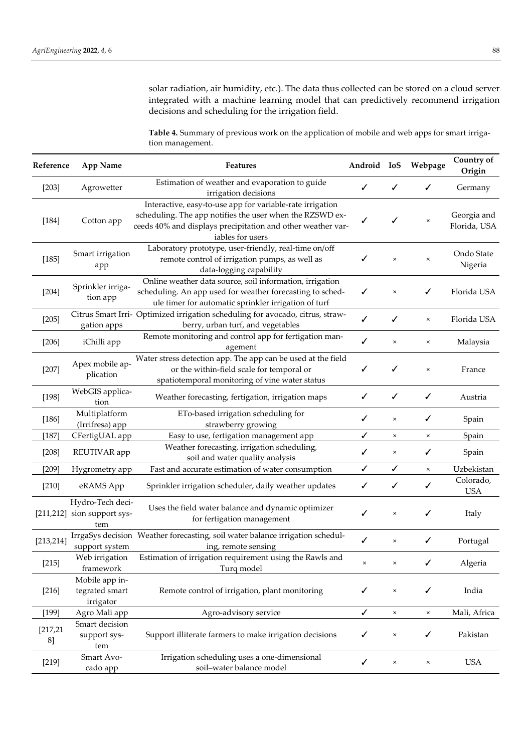solar radiation, air humidity, etc.). The data thus collected can be stored on a cloud server integrated with a machine learning model that can predictively recommend irrigation decisions and scheduling for the irrigation field.

**Table 4.** Summary of previous work on the application of mobile and web apps for smart irrigation management.

| Reference       | <b>App Name</b>                                        | <b>Features</b>                                                                                                                                                                                          | Android IoS  |                | Webpage                   | Country of<br>Origin        |
|-----------------|--------------------------------------------------------|----------------------------------------------------------------------------------------------------------------------------------------------------------------------------------------------------------|--------------|----------------|---------------------------|-----------------------------|
| $[203]$         | Agrowetter                                             | Estimation of weather and evaporation to guide<br>irrigation decisions                                                                                                                                   | ✓            | ✓              | ✓                         | Germany                     |
| $[184]$         | Cotton app                                             | Interactive, easy-to-use app for variable-rate irrigation<br>scheduling. The app notifies the user when the RZSWD ex-<br>ceeds 40% and displays precipitation and other weather var-<br>iables for users | ✓            |                | $\times$                  | Georgia and<br>Florida, USA |
| [185]           | Smart irrigation<br>app                                | Laboratory prototype, user-friendly, real-time on/off<br>remote control of irrigation pumps, as well as<br>data-logging capability                                                                       | ✓            | $\times$       | $\times$                  | Ondo State<br>Nigeria       |
| $[204]$         | Sprinkler irriga-<br>tion app                          | Online weather data source, soil information, irrigation<br>scheduling. An app used for weather forecasting to sched-<br>ule timer for automatic sprinkler irrigation of turf                            | ✓            | $\times$       | ✓                         | Florida USA                 |
| $[205]$         | gation apps                                            | Citrus Smart Irri- Optimized irrigation scheduling for avocado, citrus, straw-<br>berry, urban turf, and vegetables                                                                                      | ✓            | ✓              | $\times$                  | Florida USA                 |
| $[206]$         | iChilli app                                            | Remote monitoring and control app for fertigation man-<br>agement                                                                                                                                        | ✓            | $\times$       | $\times$                  | Malaysia                    |
| $[207]$         | Apex mobile ap-<br>plication                           | Water stress detection app. The app can be used at the field<br>or the within-field scale for temporal or<br>spatiotemporal monitoring of vine water status                                              | ✓            | ✓              | $\times$                  | France                      |
| $[198]$         | WebGIS applica-<br>tion                                | Weather forecasting, fertigation, irrigation maps                                                                                                                                                        | ✓            | ✓              | ✓                         | Austria                     |
| $[186]$         | Multiplatform<br>(Irrifresa) app                       | ETo-based irrigation scheduling for<br>strawberry growing                                                                                                                                                | ✓            | ×              | ✓                         | Spain                       |
| $[187]$         | CFertigUAL app                                         | Easy to use, fertigation management app                                                                                                                                                                  | ✓            | $\pmb{\times}$ | $\pmb{\times}$            | Spain                       |
| $[208]$         | REUTIVAR app                                           | Weather forecasting, irrigation scheduling,<br>soil and water quality analysis                                                                                                                           | ✓            | ×              | ✓                         | Spain                       |
| $[209]$         | Hygrometry app                                         | Fast and accurate estimation of water consumption                                                                                                                                                        | ✓            | ✓              | $\times$                  | Uzbekistan                  |
| $[210]$         | eRAMS App                                              | Sprinkler irrigation scheduler, daily weather updates                                                                                                                                                    | ✓            | ✓              | ✓                         | Colorado,<br><b>USA</b>     |
|                 | Hydro-Tech deci-<br>[211,212] sion support sys-<br>tem | Uses the field water balance and dynamic optimizer<br>for fertigation management                                                                                                                         | ✓            | ×              | ✓                         | Italy                       |
| [213, 214]      | support system                                         | IrrgaSys decision Weather forecasting, soil water balance irrigation schedul-<br>ing, remote sensing                                                                                                     | ✓            | $\times$       | ✓                         | Portugal                    |
| $[215]$         | Web irrigation<br>framework                            | Estimation of irrigation requirement using the Rawls and<br>Turq model                                                                                                                                   | $\times$     | $\times$       | ✓                         | Algeria                     |
| $[216]$         | Mobile app in-<br>tegrated smart<br>irrigator          | Remote control of irrigation, plant monitoring                                                                                                                                                           | ✓            | $\times$       | ✓                         | India                       |
| $[199]$         | Agro Mali app                                          | Agro-advisory service                                                                                                                                                                                    | ✓            | $\times$       | $\times$                  | Mali, Africa                |
| [217, 21]<br>8] | Smart decision<br>support sys-<br>tem                  | Support illiterate farmers to make irrigation decisions                                                                                                                                                  | ✓            | $\times$       | ✓                         | Pakistan                    |
| $[219]$         | Smart Avo-<br>cado app                                 | Irrigation scheduling uses a one-dimensional<br>soil-water balance model                                                                                                                                 | $\checkmark$ | $\times$       | $\boldsymbol{\mathsf{x}}$ | <b>USA</b>                  |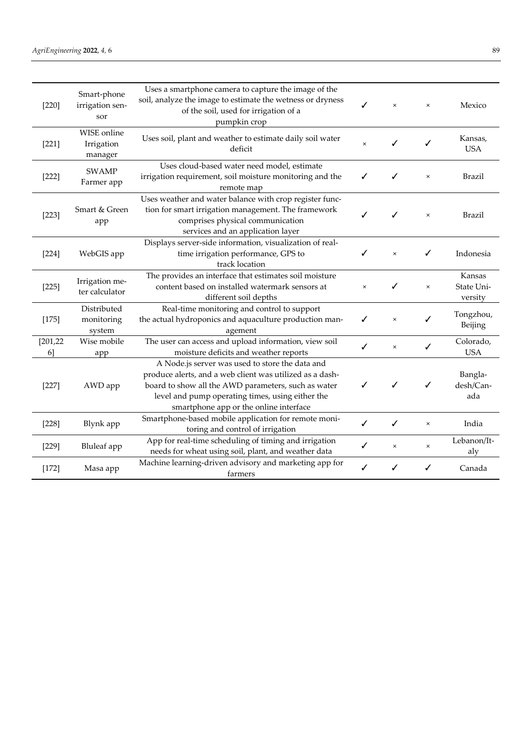| $[220]$         | Smart-phone<br>irrigation sen-<br>sor | Uses a smartphone camera to capture the image of the<br>soil, analyze the image to estimate the wetness or dryness<br>of the soil, used for irrigation of a<br>pumpkin crop                                                                                      | ✓              | $\times$       | $\times$       | Mexico                          |
|-----------------|---------------------------------------|------------------------------------------------------------------------------------------------------------------------------------------------------------------------------------------------------------------------------------------------------------------|----------------|----------------|----------------|---------------------------------|
| $[221]$         | WISE online<br>Irrigation<br>manager  | Uses soil, plant and weather to estimate daily soil water<br>deficit                                                                                                                                                                                             | $\pmb{\times}$ | ✓              | ✓              | Kansas,<br><b>USA</b>           |
| $[222]$         | <b>SWAMP</b><br>Farmer app            | Uses cloud-based water need model, estimate<br>irrigation requirement, soil moisture monitoring and the<br>remote map                                                                                                                                            | ✓              | ✓              | $\times$       | Brazil                          |
| $[223]$         | Smart & Green<br>app                  | Uses weather and water balance with crop register func-<br>tion for smart irrigation management. The framework<br>comprises physical communication<br>services and an application layer                                                                          | ✓              |                | $\times$       | Brazil                          |
| $[224]$         | WebGIS app                            | Displays server-side information, visualization of real-<br>time irrigation performance, GPS to<br>track location                                                                                                                                                | ✓              | $\times$       | ✓              | Indonesia                       |
| $[225]$         | Irrigation me-<br>ter calculator      | The provides an interface that estimates soil moisture<br>content based on installed watermark sensors at<br>different soil depths                                                                                                                               | $\times$       |                | $\pmb{\times}$ | Kansas<br>State Uni-<br>versity |
| $[175]$         | Distributed<br>monitoring<br>system   | Real-time monitoring and control to support<br>the actual hydroponics and aquaculture production man-<br>agement                                                                                                                                                 |                | $\times$       |                | Tongzhou,<br>Beijing            |
| [201, 22]<br>6] | Wise mobile<br>app                    | The user can access and upload information, view soil<br>moisture deficits and weather reports                                                                                                                                                                   | ✓              | $\times$       | ✓              | Colorado,<br><b>USA</b>         |
| $[227]$         | AWD app                               | A Node.js server was used to store the data and<br>produce alerts, and a web client was utilized as a dash-<br>board to show all the AWD parameters, such as water<br>level and pump operating times, using either the<br>smartphone app or the online interface | ✓              | ✓              | ✓              | Bangla-<br>desh/Can-<br>ada     |
| [228]           | Blynk app                             | Smartphone-based mobile application for remote moni-<br>toring and control of irrigation                                                                                                                                                                         | ✓              | ✓              | $\times$       | India                           |
| $[229]$         | <b>Bluleaf</b> app                    | App for real-time scheduling of timing and irrigation<br>needs for wheat using soil, plant, and weather data                                                                                                                                                     | ✓              | $\pmb{\times}$ | $\times$       | Lebanon/It-<br>aly              |
| $[172]$         | Masa app                              | Machine learning-driven advisory and marketing app for<br>farmers                                                                                                                                                                                                | ✓              |                | ✓              | Canada                          |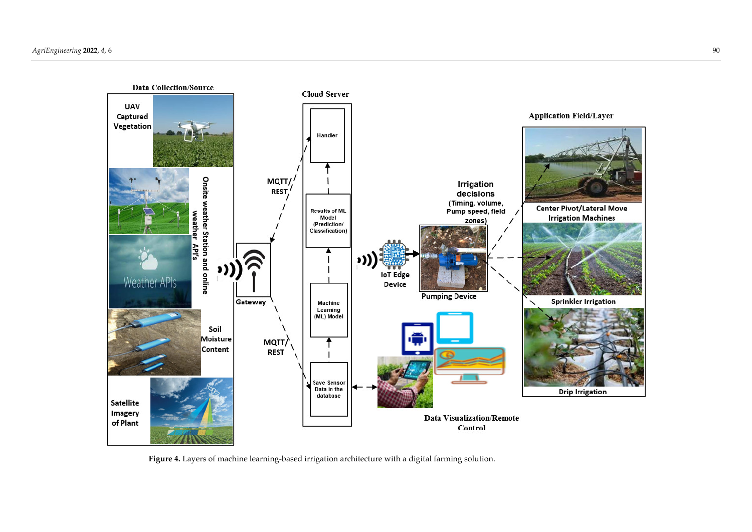

**Figure 4.** Layers of machine learning-based irrigation architecture with a digital farming solution.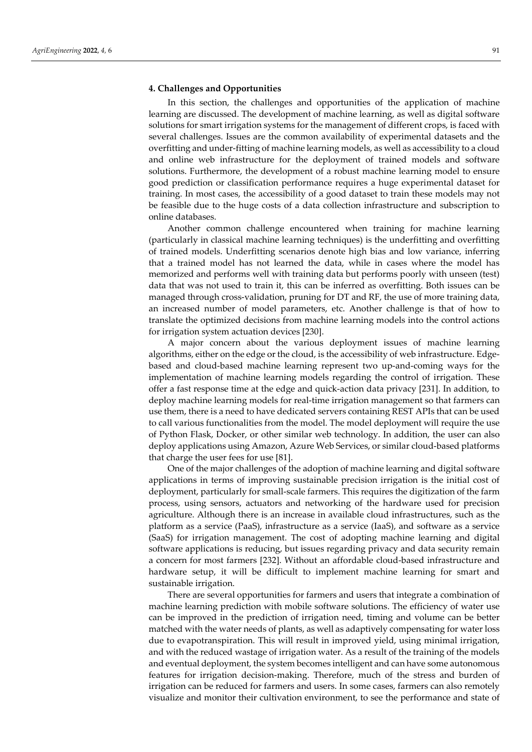## **4. Challenges and Opportunities**

In this section, the challenges and opportunities of the application of machine learning are discussed. The development of machine learning, as well as digital software solutions for smart irrigation systems for the management of different crops, is faced with several challenges. Issues are the common availability of experimental datasets and the overfitting and under-fitting of machine learning models, as well as accessibility to a cloud and online web infrastructure for the deployment of trained models and software solutions. Furthermore, the development of a robust machine learning model to ensure good prediction or classification performance requires a huge experimental dataset for training. In most cases, the accessibility of a good dataset to train these models may not be feasible due to the huge costs of a data collection infrastructure and subscription to online databases.

Another common challenge encountered when training for machine learning (particularly in classical machine learning techniques) is the underfitting and overfitting of trained models. Underfitting scenarios denote high bias and low variance, inferring that a trained model has not learned the data, while in cases where the model has memorized and performs well with training data but performs poorly with unseen (test) data that was not used to train it, this can be inferred as overfitting. Both issues can be managed through cross-validation, pruning for DT and RF, the use of more training data, an increased number of model parameters, etc. Another challenge is that of how to translate the optimized decisions from machine learning models into the control actions for irrigation system actuation devices [230].

A major concern about the various deployment issues of machine learning algorithms, either on the edge or the cloud, is the accessibility of web infrastructure. Edgebased and cloud-based machine learning represent two up-and-coming ways for the implementation of machine learning models regarding the control of irrigation. These offer a fast response time at the edge and quick-action data privacy [231]. In addition, to deploy machine learning models for real-time irrigation management so that farmers can use them, there is a need to have dedicated servers containing REST APIs that can be used to call various functionalities from the model. The model deployment will require the use of Python Flask, Docker, or other similar web technology. In addition, the user can also deploy applications using Amazon, Azure Web Services, or similar cloud-based platforms that charge the user fees for use [81].

One of the major challenges of the adoption of machine learning and digital software applications in terms of improving sustainable precision irrigation is the initial cost of deployment, particularly for small-scale farmers. This requires the digitization of the farm process, using sensors, actuators and networking of the hardware used for precision agriculture. Although there is an increase in available cloud infrastructures, such as the platform as a service (PaaS), infrastructure as a service (IaaS), and software as a service (SaaS) for irrigation management. The cost of adopting machine learning and digital software applications is reducing, but issues regarding privacy and data security remain a concern for most farmers [232]. Without an affordable cloud-based infrastructure and hardware setup, it will be difficult to implement machine learning for smart and sustainable irrigation.

There are several opportunities for farmers and users that integrate a combination of machine learning prediction with mobile software solutions. The efficiency of water use can be improved in the prediction of irrigation need, timing and volume can be better matched with the water needs of plants, as well as adaptively compensating for water loss due to evapotranspiration. This will result in improved yield, using minimal irrigation, and with the reduced wastage of irrigation water. As a result of the training of the models and eventual deployment, the system becomes intelligent and can have some autonomous features for irrigation decision-making. Therefore, much of the stress and burden of irrigation can be reduced for farmers and users. In some cases, farmers can also remotely visualize and monitor their cultivation environment, to see the performance and state of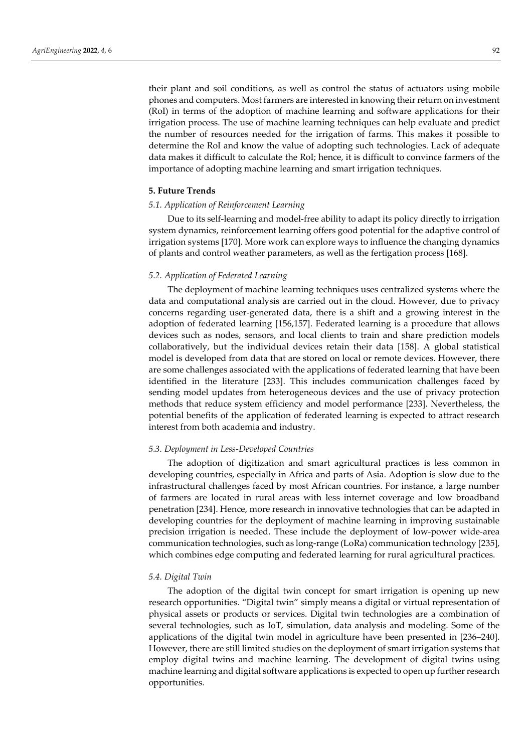their plant and soil conditions, as well as control the status of actuators using mobile phones and computers. Most farmers are interested in knowing their return on investment (RoI) in terms of the adoption of machine learning and software applications for their irrigation process. The use of machine learning techniques can help evaluate and predict the number of resources needed for the irrigation of farms. This makes it possible to determine the RoI and know the value of adopting such technologies. Lack of adequate data makes it difficult to calculate the RoI; hence, it is difficult to convince farmers of the importance of adopting machine learning and smart irrigation techniques.

## **5. Future Trends**

## *5.1. Application of Reinforcement Learning*

Due to its self-learning and model-free ability to adapt its policy directly to irrigation system dynamics, reinforcement learning offers good potential for the adaptive control of irrigation systems [170]. More work can explore ways to influence the changing dynamics of plants and control weather parameters, as well as the fertigation process [168].

#### *5.2. Application of Federated Learning*

The deployment of machine learning techniques uses centralized systems where the data and computational analysis are carried out in the cloud. However, due to privacy concerns regarding user-generated data, there is a shift and a growing interest in the adoption of federated learning [156,157]. Federated learning is a procedure that allows devices such as nodes, sensors, and local clients to train and share prediction models collaboratively, but the individual devices retain their data [158]. A global statistical model is developed from data that are stored on local or remote devices. However, there are some challenges associated with the applications of federated learning that have been identified in the literature [233]. This includes communication challenges faced by sending model updates from heterogeneous devices and the use of privacy protection methods that reduce system efficiency and model performance [233]. Nevertheless, the potential benefits of the application of federated learning is expected to attract research interest from both academia and industry.

## *5.3. Deployment in Less-Developed Countries*

The adoption of digitization and smart agricultural practices is less common in developing countries, especially in Africa and parts of Asia. Adoption is slow due to the infrastructural challenges faced by most African countries. For instance, a large number of farmers are located in rural areas with less internet coverage and low broadband penetration [234]. Hence, more research in innovative technologies that can be adapted in developing countries for the deployment of machine learning in improving sustainable precision irrigation is needed. These include the deployment of low-power wide-area communication technologies, such as long-range (LoRa) communication technology [235], which combines edge computing and federated learning for rural agricultural practices.

#### *5.4. Digital Twin*

The adoption of the digital twin concept for smart irrigation is opening up new research opportunities. "Digital twin" simply means a digital or virtual representation of physical assets or products or services. Digital twin technologies are a combination of several technologies, such as IoT, simulation, data analysis and modeling. Some of the applications of the digital twin model in agriculture have been presented in [236–240]. However, there are still limited studies on the deployment of smart irrigation systems that employ digital twins and machine learning. The development of digital twins using machine learning and digital software applications is expected to open up further research opportunities.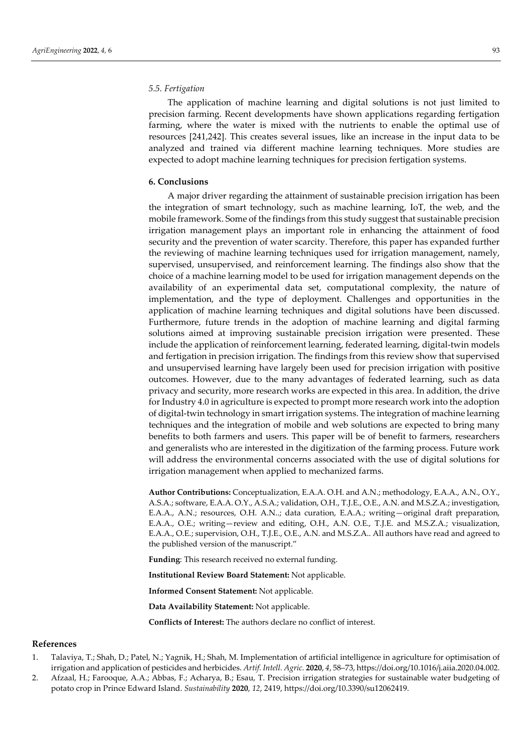# *5.5. Fertigation*

The application of machine learning and digital solutions is not just limited to precision farming. Recent developments have shown applications regarding fertigation farming, where the water is mixed with the nutrients to enable the optimal use of resources [241,242]. This creates several issues, like an increase in the input data to be analyzed and trained via different machine learning techniques. More studies are expected to adopt machine learning techniques for precision fertigation systems.

## **6. Conclusions**

A major driver regarding the attainment of sustainable precision irrigation has been the integration of smart technology, such as machine learning, IoT, the web, and the mobile framework. Some of the findings from this study suggest that sustainable precision irrigation management plays an important role in enhancing the attainment of food security and the prevention of water scarcity. Therefore, this paper has expanded further the reviewing of machine learning techniques used for irrigation management, namely, supervised, unsupervised, and reinforcement learning. The findings also show that the choice of a machine learning model to be used for irrigation management depends on the availability of an experimental data set, computational complexity, the nature of implementation, and the type of deployment. Challenges and opportunities in the application of machine learning techniques and digital solutions have been discussed. Furthermore, future trends in the adoption of machine learning and digital farming solutions aimed at improving sustainable precision irrigation were presented. These include the application of reinforcement learning, federated learning, digital-twin models and fertigation in precision irrigation. The findings from this review show that supervised and unsupervised learning have largely been used for precision irrigation with positive outcomes. However, due to the many advantages of federated learning, such as data privacy and security, more research works are expected in this area. In addition, the drive for Industry 4.0 in agriculture is expected to prompt more research work into the adoption of digital-twin technology in smart irrigation systems. The integration of machine learning techniques and the integration of mobile and web solutions are expected to bring many benefits to both farmers and users. This paper will be of benefit to farmers, researchers and generalists who are interested in the digitization of the farming process. Future work will address the environmental concerns associated with the use of digital solutions for irrigation management when applied to mechanized farms.

**Author Contributions:** Conceptualization, E.A.A. O.H. and A.N.; methodology, E.A.A., A.N., O.Y., A.S.A.; software, E.A.A. O.Y., A.S.A.; validation, O.H., T.J.E., O.E., A.N. and M.S.Z.A.; investigation, E.A.A., A.N.; resources, O.H. A.N..; data curation, E.A.A.; writing—original draft preparation, E.A.A., O.E.; writing—review and editing, O.H., A.N. O.E., T.J.E. and M.S.Z.A.; visualization, E.A.A., O.E.; supervision, O.H., T.J.E., O.E., A.N. and M.S.Z.A.. All authors have read and agreed to the published version of the manuscript."

**Funding**: This research received no external funding.

**Institutional Review Board Statement:** Not applicable.

**Informed Consent Statement:** Not applicable.

**Data Availability Statement:** Not applicable.

**Conflicts of Interest:** The authors declare no conflict of interest.

#### **References**

- 1. Talaviya, T.; Shah, D.; Patel, N.; Yagnik, H.; Shah, M. Implementation of artificial intelligence in agriculture for optimisation of irrigation and application of pesticides and herbicides. *Artif. Intell. Agric.* **2020**, *4*, 58–73, https://doi.org/10.1016/j.aiia.2020.04.002.
- 2. Afzaal, H.; Farooque, A.A.; Abbas, F.; Acharya, B.; Esau, T. Precision irrigation strategies for sustainable water budgeting of potato crop in Prince Edward Island. *Sustainability* **2020**, *12*, 2419, https://doi.org/10.3390/su12062419.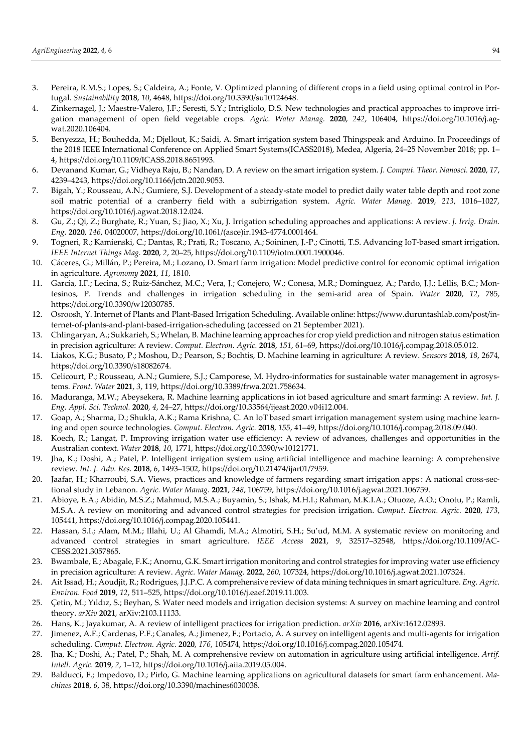- 3. Pereira, R.M.S.; Lopes, S.; Caldeira, A.; Fonte, V. Optimized planning of different crops in a field using optimal control in Portugal. *Sustainability* **2018**, *10*, 4648, https://doi.org/10.3390/su10124648.
- 4. Zinkernagel, J.; Maestre-Valero, J.F.; Seresti, S.Y.; Intrigliolo, D.S. New technologies and practical approaches to improve irrigation management of open field vegetable crops. *Agric. Water Manag.* **2020**, *242*, 106404, https://doi.org/10.1016/j.agwat.2020.106404.
- 5. Benyezza, H.; Bouhedda, M.; Djellout, K.; Saidi, A. Smart irrigation system based Thingspeak and Arduino. In Proceedings of the 2018 IEEE International Conference on Applied Smart Systems(ICASS2018), Medea, Algeria, 24–25 November 2018; pp. 1– 4, https://doi.org/10.1109/ICASS.2018.8651993.
- 6. Devanand Kumar, G.; Vidheya Raju, B.; Nandan, D. A review on the smart irrigation system. *J. Comput. Theor. Nanosci.* **2020**, *17*, 4239–4243, https://doi.org/10.1166/jctn.2020.9053.
- 7. Bigah, Y.; Rousseau, A.N.; Gumiere, S.J. Development of a steady-state model to predict daily water table depth and root zone soil matric potential of a cranberry field with a subirrigation system. *Agric. Water Manag.* **2019**, *213*, 1016–1027, https://doi.org/10.1016/j.agwat.2018.12.024.
- 8. Gu, Z.; Qi, Z.; Burghate, R.; Yuan, S.; Jiao, X.; Xu, J. Irrigation scheduling approaches and applications: A review. *J. Irrig. Drain. Eng.* **2020**, *146*, 04020007, https://doi.org/10.1061/(asce)ir.1943-4774.0001464.
- 9. Togneri, R.; Kamienski, C.; Dantas, R.; Prati, R.; Toscano, A.; Soininen, J.-P.; Cinotti, T.S. Advancing IoT-based smart irrigation. *IEEE Internet Things Mag.* **2020**, *2*, 20–25, https://doi.org/10.1109/iotm.0001.1900046.
- 10. Cáceres, G.; Millán, P.; Pereira, M.; Lozano, D. Smart farm irrigation: Model predictive control for economic optimal irrigation in agriculture. *Agronomy* **2021**, *11*, 1810.
- 11. García, I.F.; Lecina, S.; Ruiz-Sánchez, M.C.; Vera, J.; Conejero, W.; Conesa, M.R.; Domínguez, A.; Pardo, J.J.; Léllis, B.C.; Montesinos, P. Trends and challenges in irrigation scheduling in the semi-arid area of Spain. *Water* **2020**, *12*, 785, https://doi.org/10.3390/w12030785.
- 12. Osroosh, Y. Internet of Plants and Plant-Based Irrigation Scheduling. Available online: https://www.duruntashlab.com/post/internet-of-plants-and-plant-based-irrigation-scheduling (accessed on 21 September 2021).
- 13. Chlingaryan, A.; Sukkarieh, S.; Whelan, B. Machine learning approaches for crop yield prediction and nitrogen status estimation in precision agriculture: A review. *Comput. Electron. Agric.* **2018**, *151*, 61–69, https://doi.org/10.1016/j.compag.2018.05.012.
- 14. Liakos, K.G.; Busato, P.; Moshou, D.; Pearson, S.; Bochtis, D. Machine learning in agriculture: A review. *Sensors* **2018**, *18*, 2674, https://doi.org/10.3390/s18082674.
- 15. Celicourt, P.; Rousseau, A.N.; Gumiere, S.J.; Camporese, M. Hydro-informatics for sustainable water management in agrosystems. *Front. Water* **2021**, *3*, 119, https://doi.org/10.3389/frwa.2021.758634.
- 16. Maduranga, M.W.; Abeysekera, R. Machine learning applications in iot based agriculture and smart farming: A review. *Int. J. Eng. Appl. Sci. Technol.* **2020**, *4*, 24–27, https://doi.org/10.33564/ijeast.2020.v04i12.004.
- 17. Goap, A.; Sharma, D.; Shukla, A.K.; Rama Krishna, C. An IoT based smart irrigation management system using machine learning and open source technologies. *Comput. Electron. Agric.* **2018**, *155*, 41–49, https://doi.org/10.1016/j.compag.2018.09.040.
- 18. Koech, R.; Langat, P. Improving irrigation water use efficiency: A review of advances, challenges and opportunities in the Australian context. *Water* **2018**, *10*, 1771, https://doi.org/10.3390/w10121771.
- 19. Jha, K.; Doshi, A.; Patel, P. Intelligent irrigation system using artificial intelligence and machine learning: A comprehensive review. *Int. J. Adv. Res.* **2018**, *6*, 1493–1502, https://doi.org/10.21474/ijar01/7959.
- 20. Jaafar, H.; Kharroubi, S.A. Views, practices and knowledge of farmers regarding smart irrigation apps : A national cross-sectional study in Lebanon. *Agric. Water Manag.* **2021**, *248*, 106759, https://doi.org/10.1016/j.agwat.2021.106759.
- 21. Abioye, E.A.; Abidin, M.S.Z.; Mahmud, M.S.A.; Buyamin, S.; Ishak, M.H.I.; Rahman, M.K.I.A.; Otuoze, A.O.; Onotu, P.; Ramli, M.S.A. A review on monitoring and advanced control strategies for precision irrigation. *Comput. Electron. Agric.* **2020**, *173*, 105441, https://doi.org/10.1016/j.compag.2020.105441.
- 22. Hassan, S.I.; Alam, M.M.; Illahi, U.; Al Ghamdi, M.A.; Almotiri, S.H.; Su'ud, M.M. A systematic review on monitoring and advanced control strategies in smart agriculture. *IEEE Access* **2021**, *9*, 32517–32548, https://doi.org/10.1109/AC-CESS.2021.3057865.
- 23. Bwambale, E.; Abagale, F.K.; Anornu, G.K. Smart irrigation monitoring and control strategies for improving water use efficiency in precision agriculture: A review. *Agric. Water Manag.* **2022**, *260*, 107324, https://doi.org/10.1016/j.agwat.2021.107324.
- 24. Ait Issad, H.; Aoudjit, R.; Rodrigues, J.J.P.C. A comprehensive review of data mining techniques in smart agriculture. *Eng. Agric. Environ. Food* **2019**, *12*, 511–525, https://doi.org/10.1016/j.eaef.2019.11.003.
- 25. Çetin, M.; Yıldız, S.; Beyhan, S. Water need models and irrigation decision systems: A survey on machine learning and control theory. *arXiv* **2021**, arXiv:2103.11133.
- 26. Hans, K.; Jayakumar, A. A review of intelligent practices for irrigation prediction. *arXiv* **2016**, arXiv:1612.02893.
- 27. Jimenez, A.F.; Cardenas, P.F.; Canales, A.; Jimenez, F.; Portacio, A. A survey on intelligent agents and multi-agents for irrigation scheduling. *Comput. Electron. Agric.* **2020**, *176*, 105474, https://doi.org/10.1016/j.compag.2020.105474.
- 28. Jha, K.; Doshi, A.; Patel, P.; Shah, M. A comprehensive review on automation in agriculture using artificial intelligence. *Artif. Intell. Agric.* **2019**, *2*, 1–12, https://doi.org/10.1016/j.aiia.2019.05.004.
- 29. Balducci, F.; Impedovo, D.; Pirlo, G. Machine learning applications on agricultural datasets for smart farm enhancement. *Machines* **2018**, *6*, 38, https://doi.org/10.3390/machines6030038.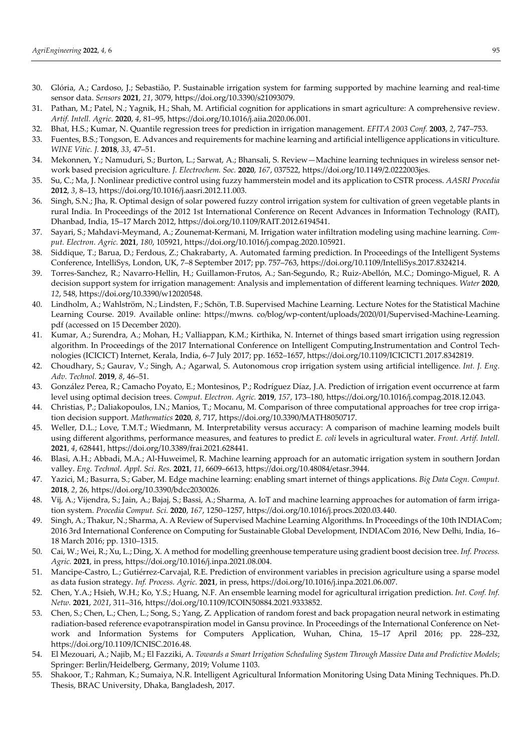- 30. Glória, A.; Cardoso, J.; Sebastião, P. Sustainable irrigation system for farming supported by machine learning and real-time sensor data. *Sensors* **2021**, *21*, 3079, https://doi.org/10.3390/s21093079.
- 31. Pathan, M.; Patel, N.; Yagnik, H.; Shah, M. Artificial cognition for applications in smart agriculture: A comprehensive review. *Artif. Intell. Agric.* **2020**, *4*, 81–95, https://doi.org/10.1016/j.aiia.2020.06.001.
- 32. Bhat, H.S.; Kumar, N. Quantile regression trees for prediction in irrigation management. *EFITA 2003 Conf.* **2003**, *2*, 747–753.
- 33. Fuentes, B.S.; Tongson, E. Advances and requirements for machine learning and artificial intelligence applications in viticulture. *WINE Vitic. J.* **2018**, *33*, 47–51.
- 34. Mekonnen, Y.; Namuduri, S.; Burton, L.; Sarwat, A.; Bhansali, S. Review—Machine learning techniques in wireless sensor network based precision agriculture. *J. Electrochem. Soc.* **2020**, *167*, 037522, https://doi.org/10.1149/2.0222003jes.
- 35. Su, C.; Ma, J. Nonlinear predictive control using fuzzy hammerstein model and its application to CSTR process. *AASRI Procedia* **2012**, *3*, 8–13, https://doi.org/10.1016/j.aasri.2012.11.003.
- 36. Singh, S.N.; Jha, R. Optimal design of solar powered fuzzy control irrigation system for cultivation of green vegetable plants in rural India. In Proceedings of the 2012 1st International Conference on Recent Advances in Information Technology (RAIT), Dhanbad, India, 15–17 March 2012, https://doi.org/10.1109/RAIT.2012.6194541.
- 37. Sayari, S.; Mahdavi-Meymand, A.; Zounemat-Kermani, M. Irrigation water infiltration modeling using machine learning. *Comput. Electron. Agric.* **2021**, *180*, 105921, https://doi.org/10.1016/j.compag.2020.105921.
- 38. Siddique, T.; Barua, D.; Ferdous, Z.; Chakrabarty, A. Automated farming prediction. In Proceedings of the Intelligent Systems Conference, IntelliSys, London, UK, 7–8 September 2017; pp. 757–763, https://doi.org/10.1109/IntelliSys.2017.8324214.
- 39. Torres-Sanchez, R.; Navarro-Hellin, H.; Guillamon-Frutos, A.; San-Segundo, R.; Ruiz-Abellón, M.C.; Domingo-Miguel, R. A decision support system for irrigation management: Analysis and implementation of different learning techniques. *Water* **2020**, *12*, 548, https://doi.org/10.3390/w12020548.
- 40. Lindholm, A.; Wahlström, N.; Lindsten, F.; Schön, T.B. Supervised Machine Learning. Lecture Notes for the Statistical Machine Learning Course. 2019. Available online: https://mwns. co/blog/wp-content/uploads/2020/01/Supervised-Machine-Learning. pdf (accessed on 15 December 2020).
- 41. Kumar, A.; Surendra, A.; Mohan, H.; Valliappan, K.M.; Kirthika, N. Internet of things based smart irrigation using regression algorithm. In Proceedings of the 2017 International Conference on Intelligent Computing,Instrumentation and Control Technologies (ICICICT) Internet, Kerala, India, 6–7 July 2017; pp. 1652–1657, https://doi.org/10.1109/ICICICT1.2017.8342819.
- 42. Choudhary, S.; Gaurav, V.; Singh, A.; Agarwal, S. Autonomous crop irrigation system using artificial intelligence. *Int. J. Eng. Adv. Technol.* **2019**, *8*, 46–51.
- 43. González Perea, R.; Camacho Poyato, E.; Montesinos, P.; Rodríguez Díaz, J.A. Prediction of irrigation event occurrence at farm level using optimal decision trees. *Comput. Electron. Agric.* **2019**, *157*, 173–180, https://doi.org/10.1016/j.compag.2018.12.043.
- 44. Christias, P.; Daliakopoulos, I.N.; Manios, T.; Mocanu, M. Comparison of three computational approaches for tree crop irrigation decision support. *Mathematics* **2020**, *8*, 717, https://doi.org/10.3390/MATH8050717.
- 45. Weller, D.L.; Love, T.M.T.; Wiedmann, M. Interpretability versus accuracy: A comparison of machine learning models built using different algorithms, performance measures, and features to predict *E. coli* levels in agricultural water. *Front. Artif. Intell.* **2021**, *4*, 628441, https://doi.org/10.3389/frai.2021.628441.
- 46. Blasi, A.H.; Abbadi, M.A.; Al-Huweimel, R. Machine learning approach for an automatic irrigation system in southern Jordan valley. *Eng. Technol. Appl. Sci. Res.* **2021**, *11*, 6609–6613, https://doi.org/10.48084/etasr.3944.
- 47. Yazici, M.; Basurra, S.; Gaber, M. Edge machine learning: enabling smart internet of things applications. *Big Data Cogn. Comput.* **2018**, *2*, 26, https://doi.org/10.3390/bdcc2030026.
- 48. Vij, A.; Vijendra, S.; Jain, A.; Bajaj, S.; Bassi, A.; Sharma, A. IoT and machine learning approaches for automation of farm irrigation system. *Procedia Comput. Sci.* **2020**, *167*, 1250–1257, https://doi.org/10.1016/j.procs.2020.03.440.
- 49. Singh, A.; Thakur, N.; Sharma, A. A Review of Supervised Machine Learning Algorithms. In Proceedings of the 10th INDIACom; 2016 3rd International Conference on Computing for Sustainable Global Development, INDIACom 2016, New Delhi, India, 16– 18 March 2016; pp. 1310–1315.
- 50. Cai, W.; Wei, R.; Xu, L.; Ding, X. A method for modelling greenhouse temperature using gradient boost decision tree. *Inf. Process. Agric.* **2021**, in press, https://doi.org/10.1016/j.inpa.2021.08.004.
- 51. Mancipe-Castro, L.; Gutiérrez-Carvajal, R.E. Prediction of environment variables in precision agriculture using a sparse model as data fusion strategy. *Inf. Process. Agric.* **2021**, in press, https://doi.org/10.1016/j.inpa.2021.06.007.
- 52. Chen, Y.A.; Hsieh, W.H.; Ko, Y.S.; Huang, N.F. An ensemble learning model for agricultural irrigation prediction. *Int. Conf. Inf. Netw.* **2021**, *2021*, 311–316, https://doi.org/10.1109/ICOIN50884.2021.9333852.
- 53. Chen, S.; Chen, L.; Chen, L.; Song, S.; Yang, Z. Application of random forest and back propagation neural network in estimating radiation-based reference evapotranspiration model in Gansu province. In Proceedings of the International Conference on Network and Information Systems for Computers Application, Wuhan, China, 15–17 April 2016; pp. 228–232, https://doi.org/10.1109/ICNISC.2016.48.
- 54. El Mezouari, A.; Najib, M.; El Fazziki, A. *Towards a Smart Irrigation Scheduling System Through Massive Data and Predictive Models*; Springer: Berlin/Heidelberg, Germany, 2019; Volume 1103.
- 55. Shakoor, T.; Rahman, K.; Sumaiya, N.R. Intelligent Agricultural Information Monitoring Using Data Mining Techniques. Ph.D. Thesis, BRAC University, Dhaka, Bangladesh, 2017.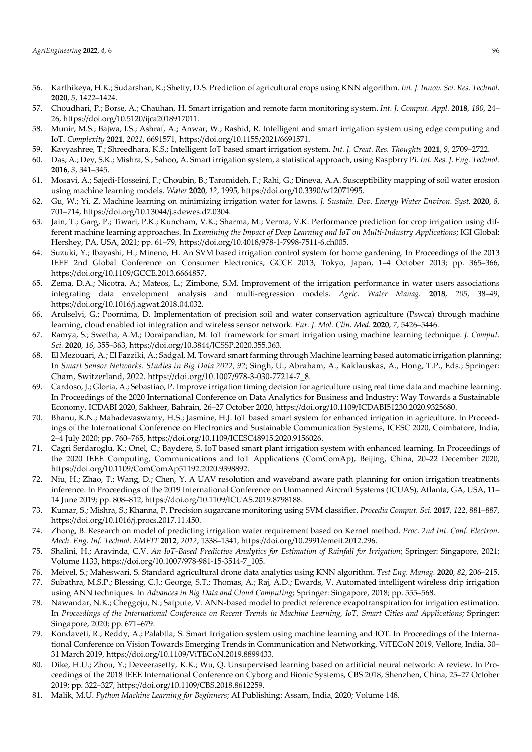- 56. Karthikeya, H.K.; Sudarshan, K.; Shetty, D.S. Prediction of agricultural crops using KNN algorithm. *Int. J. Innov. Sci. Res. Technol.* **2020**, *5*, 1422–1424.
- 57. Choudhari, P.; Borse, A.; Chauhan, H. Smart irrigation and remote farm monitoring system. *Int. J. Comput. Appl.* **2018**, *180*, 24– 26, https://doi.org/10.5120/ijca2018917011.
- 58. Munir, M.S.; Bajwa, I.S.; Ashraf, A.; Anwar, W.; Rashid, R. Intelligent and smart irrigation system using edge computing and IoT. *Complexity* **2021**, *2021*, 6691571, https://doi.org/10.1155/2021/6691571.
- 59. Kavyashree, T.; Shreedhara, K.S.; Intelligent IoT based smart irrigation system. *Int. J. Creat. Res. Thoughts* **2021**, *9*, 2709–2722.
- 60. Das, A.; Dey, S.K.; Mishra, S.; Sahoo, A. Smart irrigation system, a statistical approach, using Raspbrry Pi. *Int. Res. J. Eng. Technol.* **2016**, *3*, 341–345.
- 61. Mosavi, A.; Sajedi-Hosseini, F.; Choubin, B.; Taromideh, F.; Rahi, G.; Dineva, A.A. Susceptibility mapping of soil water erosion using machine learning models. *Water* **2020**, *12*, 1995, https://doi.org/10.3390/w12071995.
- 62. Gu, W.; Yi, Z. Machine learning on minimizing irrigation water for lawns. *J. Sustain. Dev. Energy Water Environ. Syst.* **2020**, *8*, 701–714, https://doi.org/10.13044/j.sdewes.d7.0304.
- 63. Jain, T.; Garg, P.; Tiwari, P.K.; Kuncham, V.K.; Sharma, M.; Verma, V.K. Performance prediction for crop irrigation using different machine learning approaches. In *Examining the Impact of Deep Learning and IoT on Multi-Industry Applications*; IGI Global: Hershey, PA, USA, 2021; pp. 61–79, https://doi.org/10.4018/978-1-7998-7511-6.ch005.
- 64. Suzuki, Y.; Ibayashi, H.; Mineno, H. An SVM based irrigation control system for home gardening. In Proceedings of the 2013 IEEE 2nd Global Conference on Consumer Electronics, GCCE 2013, Tokyo, Japan, 1–4 October 2013; pp. 365–366, https://doi.org/10.1109/GCCE.2013.6664857.
- 65. Zema, D.A.; Nicotra, A.; Mateos, L.; Zimbone, S.M. Improvement of the irrigation performance in water users associations integrating data envelopment analysis and multi-regression models. *Agric. Water Manag.* **2018**, *205*, 38–49, https://doi.org/10.1016/j.agwat.2018.04.032.
- 66. Arulselvi, G.; Poornima, D. Implementation of precision soil and water conservation agriculture (Pswca) through machine learning, cloud enabled iot integration and wireless sensor network. *Eur. J. Mol. Clin. Med.* **2020**, *7*, 5426–5446.
- 67. Ramya, S.; Swetha, A.M.; Doraipandian, M. IoT framework for smart irrigation using machine learning technique. *J. Comput. Sci.* **2020**, *16*, 355–363, https://doi.org/10.3844/JCSSP.2020.355.363.
- 68. El Mezouari, A.; El Fazziki, A.; Sadgal, M. Toward smart farming through Machine learning based automatic irrigation planning; In *Smart Sensor Networks. Studies in Big Data 2022, 92*; Singh, U., Abraham, A., Kaklauskas, A., Hong, T.P., Eds.; Springer: Cham, Switzerland, 2022. https://doi.org/10.1007/978-3-030-77214-7\_8.
- 69. Cardoso, J.; Gloria, A.; Sebastiao, P. Improve irrigation timing decision for agriculture using real time data and machine learning. In Proceedings of the 2020 International Conference on Data Analytics for Business and Industry: Way Towards a Sustainable Economy, ICDABI 2020, Sakheer, Bahrain, 26–27 October 2020, https://doi.org/10.1109/ICDABI51230.2020.9325680.
- 70. Bhanu, K.N.; Mahadevaswamy, H.S.; Jasmine, H.J. IoT based smart system for enhanced irrigation in agriculture. In Proceedings of the International Conference on Electronics and Sustainable Communication Systems, ICESC 2020, Coimbatore, India, 2–4 July 2020; pp. 760–765, https://doi.org/10.1109/ICESC48915.2020.9156026.
- 71. Cagri Serdaroglu, K.; Onel, C.; Baydere, S. IoT based smart plant irrigation system with enhanced learning. In Proceedings of the 2020 IEEE Computing, Communications and IoT Applications (ComComAp), Beijing, China, 20–22 December 2020, https://doi.org/10.1109/ComComAp51192.2020.9398892.
- 72. Niu, H.; Zhao, T.; Wang, D.; Chen, Y. A UAV resolution and waveband aware path planning for onion irrigation treatments inference. In Proceedings of the 2019 International Conference on Unmanned Aircraft Systems (ICUAS), Atlanta, GA, USA, 11– 14 June 2019; pp. 808–812, https://doi.org/10.1109/ICUAS.2019.8798188.
- 73. Kumar, S.; Mishra, S.; Khanna, P. Precision sugarcane monitoring using SVM classifier. *Procedia Comput. Sci.* **2017**, *122*, 881–887, https://doi.org/10.1016/j.procs.2017.11.450.
- 74. Zhong, B. Research on model of predicting irrigation water requirement based on Kernel method. *Proc. 2nd Int. Conf. Electron. Mech. Eng. Inf. Technol. EMEIT* **2012**, *2012*, 1338–1341, https://doi.org/10.2991/emeit.2012.296.
- 75. Shalini, H.; Aravinda, C.V. *An IoT-Based Predictive Analytics for Estimation of Rainfall for Irrigation*; Springer: Singapore, 2021; Volume 1133, https://doi.org/10.1007/978-981-15-3514-7\_105.
- 76. Meivel, S.; Maheswari, S. Standard agricultural drone data analytics using KNN algorithm. *Test Eng. Manag.* **2020**, *82*, 206–215.
- 77. Subathra, M.S.P.; Blessing, C.J.; George, S.T.; Thomas, A.; Raj, A.D.; Ewards, V. Automated intelligent wireless drip irrigation using ANN techniques. In *Advances in Big Data and Cloud Computing*; Springer: Singapore, 2018; pp. 555–568.
- 78. Nawandar, N.K.; Cheggoju, N.; Satpute, V. ANN-based model to predict reference evapotranspiration for irrigation estimation. In *Proceedings of the International Conference on Recent Trends in Machine Learning, IoT, Smart Cities and Applications*; Springer: Singapore, 2020; pp. 671–679.
- 79. Kondaveti, R.; Reddy, A.; Palabtla, S. Smart Irrigation system using machine learning and IOT. In Proceedings of the International Conference on Vision Towards Emerging Trends in Communication and Networking, ViTECoN 2019, Vellore, India, 30– 31 March 2019, https://doi.org/10.1109/ViTECoN.2019.8899433.
- 80. Dike, H.U.; Zhou, Y.; Deveerasetty, K.K.; Wu, Q. Unsupervised learning based on artificial neural network: A review. In Proceedings of the 2018 IEEE International Conference on Cyborg and Bionic Systems, CBS 2018, Shenzhen, China, 25–27 October 2019; pp. 322–327, https://doi.org/10.1109/CBS.2018.8612259.
- 81. Malik, M.U. *Python Machine Learning for Beginners*; AI Publishing: Assam, India, 2020; Volume 148.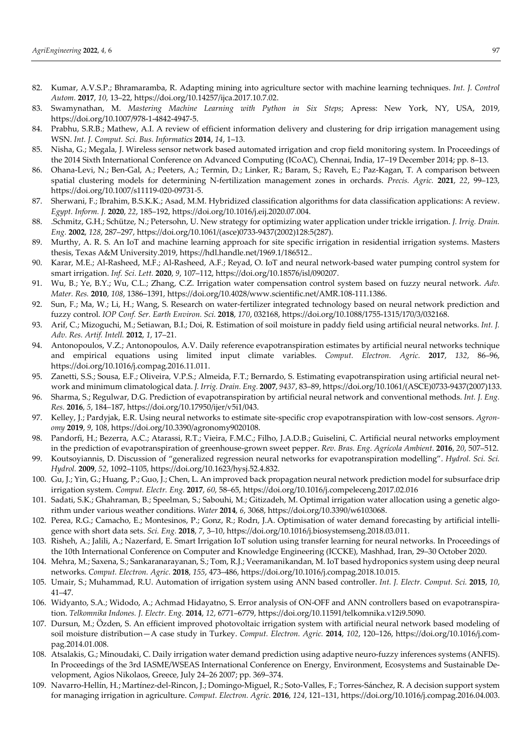- 82. Kumar, A.V.S.P.; Bhramaramba, R. Adapting mining into agriculture sector with machine learning techniques. *Int. J. Control Autom.* **2017**, *10*, 13–22, https://doi.org/10.14257/ijca.2017.10.7.02.
- 83. Swamynathan, M. *Mastering Machine Learning with Python in Six Steps*; Apress: New York, NY, USA, 2019, https://doi.org/10.1007/978-1-4842-4947-5.
- 84. Prabhu, S.R.B.; Mathew, A.I. A review of efficient information delivery and clustering for drip irrigation management using WSN. *Int. J. Comput. Sci. Bus. Informatics* **2014**, *14*, 1–13.
- 85. Nisha, G.; Megala, J. Wireless sensor network based automated irrigation and crop field monitoring system. In Proceedings of the 2014 Sixth International Conference on Advanced Computing (ICoAC), Chennai, India, 17-19 December 2014; pp. 8–13.
- 86. Ohana-Levi, N.; Ben-Gal, A.; Peeters, A.; Termin, D.; Linker, R.; Baram, S.; Raveh, E.; Paz-Kagan, T. A comparison between spatial clustering models for determining N-fertilization management zones in orchards. *Precis. Agric.* **2021**, *22*, 99–123, https://doi.org/10.1007/s11119-020-09731-5.
- 87. Sherwani, F.; Ibrahim, B.S.K.K.; Asad, M.M. Hybridized classification algorithms for data classification applications: A review. *Egypt. Inform. J.* **2020**, *22*, 185–192, https://doi.org/10.1016/j.eij.2020.07.004.
- 88. .Schmitz, G.H.; Schütze, N.; Petersohn, U. New strategy for optimizing water application under trickle irrigation. *J. Irrig. Drain. Eng.* **2002**, *128*, 287–297, https://doi.org/10.1061/(asce)0733-9437(2002)128:5(287).
- 89. Murthy, A. R. S. An IoT and machine learning approach for site specific irrigation in residential irrigation systems. Masters thesis, Texas A&M University.2019, https://hdl.handle.net/1969.1/186512..
- 90. Karar, M.E.; Al-Rasheed, M.F.; Al-Rasheed, A.F.; Reyad, O. IoT and neural network-based water pumping control system for smart irrigation. *Inf. Sci. Lett.* **2020**, *9*, 107–112, https://doi.org/10.18576/isl/090207.
- 91. Wu, B.; Ye, B.Y.; Wu, C.L.; Zhang, C.Z. Irrigation water compensation control system based on fuzzy neural network. *Adv. Mater. Res.* **2010**, *108*, 1386–1391, https://doi.org/10.4028/www.scientific.net/AMR.108-111.1386.
- 92. Sun, F.; Ma, W.; Li, H.; Wang, S. Research on water-fertilizer integrated technology based on neural network prediction and fuzzy control. *IOP Conf. Ser. Earth Environ. Sci.* **2018**, *170*, 032168, https://doi.org/10.1088/1755-1315/170/3/032168.
- 93. Arif, C.; Mizoguchi, M.; Setiawan, B.I.; Doi, R. Estimation of soil moisture in paddy field using artificial neural networks. *Int. J. Adv. Res. Artif. Intell.* **2012**, *1*, 17–21.
- 94. Antonopoulos, V.Z.; Antonopoulos, A.V. Daily reference evapotranspiration estimates by artificial neural networks technique and empirical equations using limited input climate variables. *Comput. Electron. Agric.* **2017**, *132*, 86–96, https://doi.org/10.1016/j.compag.2016.11.011.
- 95. Zanetti, S.S.; Sousa, E.F.; Oliveira, V.P.S.; Almeida, F.T.; Bernardo, S. Estimating evapotranspiration using artificial neural network and minimum climatological data. *J. Irrig. Drain. Eng.* **2007**, *9437*, 83–89, https://doi.org/10.1061/(ASCE)0733-9437(2007)133.
- 96. Sharma, S.; Regulwar, D.G. Prediction of evapotranspiration by artificial neural network and conventional methods. *Int. J. Eng. Res.* **2016**, *5*, 184–187, https://doi.org/10.17950/ijer/v5i1/043.
- 97. Kelley, J.; Pardyjak, E.R. Using neural networks to estimate site-specific crop evapotranspiration with low-cost sensors. *Agronomy* **2019**, *9*, 108, https://doi.org/10.3390/agronomy9020108.
- 98. Pandorfi, H.; Bezerra, A.C.; Atarassi, R.T.; Vieira, F.M.C.; Filho, J.A.D.B.; Guiselini, C. Artificial neural networks employment in the prediction of evapotranspiration of greenhouse-grown sweet pepper. *Rev. Bras. Eng. Agrícola Ambient.* **2016**, *20*, 507–512.
- 99. Koutsoyiannis, D. Discussion of "generalized regression neural networks for evapotranspiration modelling". *Hydrol. Sci. Sci. Hydrol.* **2009**, *52*, 1092–1105, https://doi.org/10.1623/hysj.52.4.832.
- 100. Gu, J.; Yin, G.; Huang, P.; Guo, J.; Chen, L. An improved back propagation neural network prediction model for subsurface drip irrigation system. *Comput. Electr. Eng.* **2017**, *60*, 58–65, https://doi.org/10.1016/j.compeleceng.2017.02.016
- 101. Sadati, S.K.; Ghahraman, B.; Speelman, S.; Sabouhi, M.; Gitizadeh, M. Optimal irrigation water allocation using a genetic algorithm under various weather conditions. *Water* **2014**, *6*, 3068, https://doi.org/10.3390/w6103068.
- 102. Perea, R.G.; Camacho, E.; Montesinos, P.; Gonz, R.; Rodrı, J.A. Optimisation of water demand forecasting by artificial intelligence with short data sets. *Sci. Eng.* **2018**, *7*, 3–10, https://doi.org/10.1016/j.biosystemseng.2018.03.011.
- 103. Risheh, A.; Jalili, A.; Nazerfard, E. Smart Irrigation IoT solution using transfer learning for neural networks. In Proceedings of the 10th International Conference on Computer and Knowledge Engineering (ICCKE), Mashhad, Iran, 29–30 October 2020.
- 104. Mehra, M.; Saxena, S.; Sankaranarayanan, S.; Tom, R.J.; Veeramanikandan, M. IoT based hydroponics system using deep neural networks. *Comput. Electron. Agric.* **2018**, *155*, 473–486, https://doi.org/10.1016/j.compag.2018.10.015.
- 105. Umair, S.; Muhammad, R.U. Automation of irrigation system using ANN based controller. *Int. J. Electr. Comput. Sci.* **2015**, *10*, 41–47.
- 106. Widyanto, S.A.; Widodo, A.; Achmad Hidayatno, S. Error analysis of ON-OFF and ANN controllers based on evapotranspiration. *Telkomnika Indones. J. Electr. Eng.* **2014**, *12*, 6771–6779, https://doi.org/10.11591/telkomnika.v12i9.5090.
- 107. Dursun, M.; Özden, S. An efficient improved photovoltaic irrigation system with artificial neural network based modeling of soil moisture distribution—A case study in Turkey. *Comput. Electron. Agric.* **2014**, *102*, 120–126, https://doi.org/10.1016/j.compag.2014.01.008.
- 108. Atsalakis, G.; Minoudaki, C. Daily irrigation water demand prediction using adaptive neuro-fuzzy inferences systems (ANFIS). In Proceedings of the 3rd IASME/WSEAS International Conference on Energy, Environment, Ecosystems and Sustainable Development, Agios Nikolaos, Greece, July 24–26 2007; pp. 369–374.
- 109. Navarro-Hellín, H.; Martínez-del-Rincon, J.; Domingo-Miguel, R.; Soto-Valles, F.; Torres-Sánchez, R. A decision support system for managing irrigation in agriculture. *Comput. Electron. Agric.* **2016**, *124*, 121–131, https://doi.org/10.1016/j.compag.2016.04.003.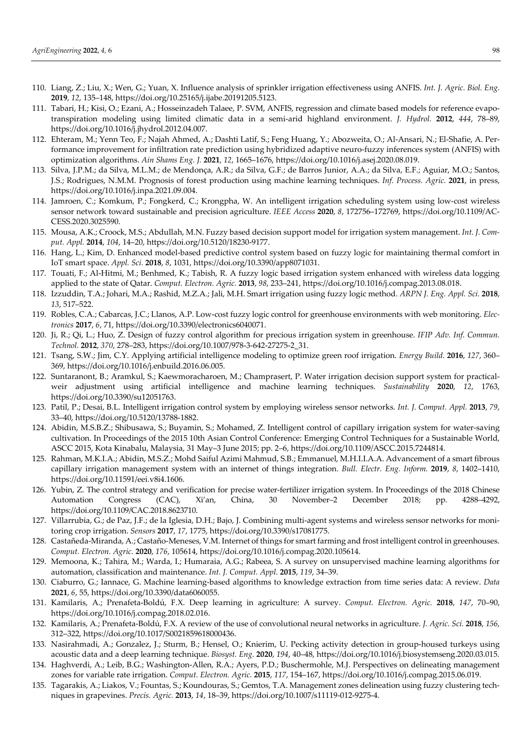- 110. Liang, Z.; Liu, X.; Wen, G.; Yuan, X. Influence analysis of sprinkler irrigation effectiveness using ANFIS. *Int. J. Agric. Biol. Eng.* **2019**, *12*, 135–148, https://doi.org/10.25165/j.ijabe.20191205.5123.
- 111. Tabari, H.; Kisi, O.; Ezani, A.; Hosseinzadeh Talaee, P. SVM, ANFIS, regression and climate based models for reference evapotranspiration modeling using limited climatic data in a semi-arid highland environment. *J. Hydrol.* **2012**, *444*, 78–89, https://doi.org/10.1016/j.jhydrol.2012.04.007.
- 112. Ehteram, M.; Yenn Teo, F.; Najah Ahmed, A.; Dashti Latif, S.; Feng Huang, Y.; Abozweita, O.; Al-Ansari, N.; El-Shafie, A. Performance improvement for infiltration rate prediction using hybridized adaptive neuro-fuzzy inferences system (ANFIS) with optimization algorithms. *Ain Shams Eng. J.* **2021**, *12*, 1665–1676, https://doi.org/10.1016/j.asej.2020.08.019.
- 113. Silva, J.P.M.; da Silva, M.L.M.; de Mendonça, A.R.; da Silva, G.F.; de Barros Junior, A.A.; da Silva, E.F.; Aguiar, M.O.; Santos, J.S.; Rodrigues, N.M.M. Prognosis of forest production using machine learning techniques. *Inf. Process. Agric.* **2021**, in press, https://doi.org/10.1016/j.inpa.2021.09.004.
- 114. Jamroen, C.; Komkum, P.; Fongkerd, C.; Krongpha, W. An intelligent irrigation scheduling system using low-cost wireless sensor network toward sustainable and precision agriculture. *IEEE Access* **2020**, *8*, 172756–172769, https://doi.org/10.1109/AC-CESS.2020.3025590.
- 115. Mousa, A.K.; Croock, M.S.; Abdullah, M.N. Fuzzy based decision support model for irrigation system management. *Int. J. Comput. Appl.* **2014**, *104*, 14–20, https://doi.org/10.5120/18230-9177.
- 116. Hang, L.; Kim, D. Enhanced model-based predictive control system based on fuzzy logic for maintaining thermal comfort in IoT smart space. *Appl. Sci.* **2018**, *8*, 1031, https://doi.org/10.3390/app8071031.
- 117. Touati, F.; Al-Hitmi, M.; Benhmed, K.; Tabish, R. A fuzzy logic based irrigation system enhanced with wireless data logging applied to the state of Qatar. *Comput. Electron. Agric.* **2013**, *98*, 233–241, https://doi.org/10.1016/j.compag.2013.08.018.
- 118. Izzuddin, T.A.; Johari, M.A.; Rashid, M.Z.A.; Jali, M.H. Smart irrigation using fuzzy logic method. *ARPN J. Eng. Appl. Sci.* **2018**, *13*, 517–522.
- 119. Robles, C.A.; Cabarcas, J.C.; Llanos, A.P. Low-cost fuzzy logic control for greenhouse environments with web monitoring. *Electronics* **2017**, *6*, 71, https://doi.org/10.3390/electronics6040071.
- 120. Ji, R.; Qi, L.; Huo, Z. Design of fuzzy control algorithm for precious irrigation system in greenhouse. *IFIP Adv. Inf. Commun. Technol.* **2012**, *370*, 278–283, https://doi.org/10.1007/978-3-642-27275-2\_31.
- 121. Tsang, S.W.; Jim, C.Y. Applying artificial intelligence modeling to optimize green roof irrigation. *Energy Build.* **2016**, *127*, 360– 369, https://doi.org/10.1016/j.enbuild.2016.06.005.
- 122. Suntaranont, B.; Aramkul, S.; Kaewmoracharoen, M.; Champrasert, P. Water irrigation decision support system for practicalweir adjustment using artificial intelligence and machine learning techniques. *Sustainability* **2020**, *12*, 1763, https://doi.org/10.3390/su12051763.
- 123. Patil, P.; Desai, B.L. Intelligent irrigation control system by employing wireless sensor networks. *Int. J. Comput. Appl.* **2013**, *79*, 33–40, https://doi.org/10.5120/13788-1882.
- 124. Abidin, M.S.B.Z.; Shibusawa, S.; Buyamin, S.; Mohamed, Z. Intelligent control of capillary irrigation system for water-saving cultivation. In Proceedings of the 2015 10th Asian Control Conference: Emerging Control Techniques for a Sustainable World, ASCC 2015, Kota Kinabalu, Malaysia, 31 May–3 June 2015; pp. 2–6, https://doi.org/10.1109/ASCC.2015.7244814.
- 125. Rahman, M.K.I.A.; Abidin, M.S.Z.; Mohd Saiful Azimi Mahmud, S.B.; Emmanuel, M.H.I.I.A.A. Advancement of a smart fibrous capillary irrigation management system with an internet of things integration. *Bull. Electr. Eng. Inform.* **2019**, *8*, 1402–1410, https://doi.org/10.11591/eei.v8i4.1606.
- 126. Yubin, Z. The control strategy and verification for precise water-fertilizer irrigation system. In Proceedings of the 2018 Chinese Automation Congress (CAC), Xi'an, China, 30 November–2 December 2018; pp. 4288–4292, https://doi.org/10.1109/CAC.2018.8623710.
- 127. Villarrubia, G.; de Paz, J.F.; de la Iglesia, D.H.; Bajo, J. Combining multi-agent systems and wireless sensor networks for monitoring crop irrigation. *Sensors* **2017**, *17*, 1775, https://doi.org/10.3390/s17081775.
- 128. Castañeda-Miranda, A.; Castaño-Meneses, V.M. Internet of things for smart farming and frost intelligent control in greenhouses. *Comput. Electron. Agric.* **2020**, *176*, 105614, https://doi.org/10.1016/j.compag.2020.105614.
- 129. Memoona, K.; Tahira, M.; Warda, I.; Humaraia, A.G.; Rabeea, S. A survey on unsupervised machine learning algorithms for automation, classification and maintenance. *Int. J. Comput. Appl.* **2015**, *119*, 34–39.
- 130. Ciaburro, G.; Iannace, G. Machine learning-based algorithms to knowledge extraction from time series data: A review. *Data* **2021**, *6*, 55, https://doi.org/10.3390/data6060055.
- 131. Kamilaris, A.; Prenafeta-Boldú, F.X. Deep learning in agriculture: A survey. *Comput. Electron. Agric.* **2018**, *147*, 70–90, https://doi.org/10.1016/j.compag.2018.02.016.
- 132. Kamilaris, A.; Prenafeta-Boldú, F.X. A review of the use of convolutional neural networks in agriculture. *J. Agric. Sci.* **2018**, *156*, 312–322, https://doi.org/10.1017/S0021859618000436.
- 133. Nasirahmadi, A.; Gonzalez, J.; Sturm, B.; Hensel, O.; Knierim, U. Pecking activity detection in group-housed turkeys using acoustic data and a deep learning technique. *Biosyst. Eng.* **2020**, *194*, 40–48, https://doi.org/10.1016/j.biosystemseng.2020.03.015.
- 134. Haghverdi, A.; Leib, B.G.; Washington-Allen, R.A.; Ayers, P.D.; Buschermohle, M.J. Perspectives on delineating management zones for variable rate irrigation. *Comput. Electron. Agric.* **2015**, *117*, 154–167, https://doi.org/10.1016/j.compag.2015.06.019.
- 135. Tagarakis, A.; Liakos, V.; Fountas, S.; Koundouras, S.; Gemtos, T.A. Management zones delineation using fuzzy clustering techniques in grapevines. *Precis. Agric.* **2013**, *14*, 18–39, https://doi.org/10.1007/s11119-012-9275-4.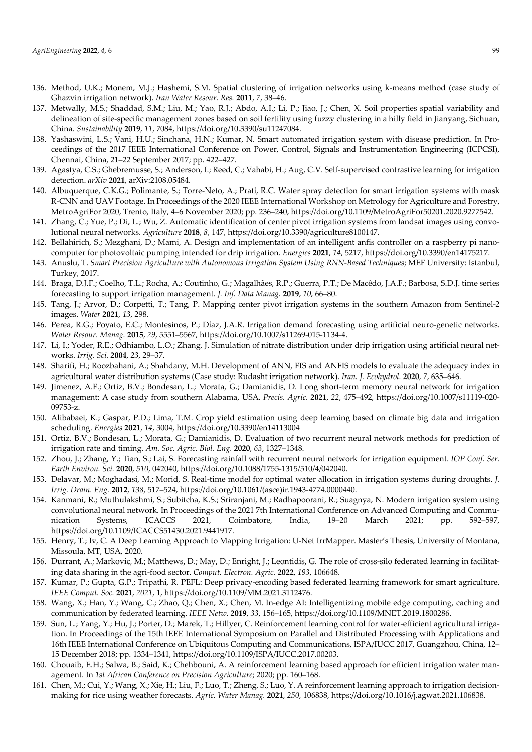- 136. Method, U.K.; Monem, M.J.; Hashemi, S.M. Spatial clustering of irrigation networks using k-means method (case study of Ghazvin irrigation network). *Iran Water Resour. Res.* **2011**, *7*, 38–46.
- 137. Metwally, M.S.; Shaddad, S.M.; Liu, M.; Yao, R.J.; Abdo, A.I.; Li, P.; Jiao, J.; Chen, X. Soil properties spatial variability and delineation of site-specific management zones based on soil fertility using fuzzy clustering in a hilly field in Jianyang, Sichuan, China. *Sustainability* **2019**, *11*, 7084, https://doi.org/10.3390/su11247084.
- 138. Yashaswini, L.S.; Vani, H.U.; Sinchana, H.N.; Kumar, N. Smart automated irrigation system with disease prediction. In Proceedings of the 2017 IEEE International Conference on Power, Control, Signals and Instrumentation Engineering (ICPCSI), Chennai, China, 21–22 September 2017; pp. 422–427.
- 139. Agastya, C.S.; Ghebremusse, S.; Anderson, I.; Reed, C.; Vahabi, H.; Aug, C.V. Self-supervised contrastive learning for irrigation detection. *arXiv* **2021**, arXiv:2108.05484.
- 140. Albuquerque, C.K.G.; Polimante, S.; Torre-Neto, A.; Prati, R.C. Water spray detection for smart irrigation systems with mask R-CNN and UAV Footage. In Proceedings of the 2020 IEEE International Workshop on Metrology for Agriculture and Forestry, MetroAgriFor 2020, Trento, Italy, 4–6 November 2020; pp. 236–240, https://doi.org/10.1109/MetroAgriFor50201.2020.9277542.
- 141. Zhang, C.; Yue, P.; Di, L.; Wu, Z. Automatic identification of center pivot irrigation systems from landsat images using convolutional neural networks. *Agriculture* **2018**, *8*, 147, https://doi.org/10.3390/agriculture8100147.
- 142. Bellahirich, S.; Mezghani, D.; Mami, A. Design and implementation of an intelligent anfis controller on a raspberry pi nanocomputer for photovoltaic pumping intended for drip irrigation. *Energies* **2021**, *14*, 5217, https://doi.org/10.3390/en14175217.
- 143. Anuslu, T. *Smart Precision Agriculture with Autonomous Irrigation System Using RNN-Based Techniques*; MEF University: Istanbul, Turkey, 2017.
- 144. Braga, D.J.F.; Coelho, T.L.; Rocha, A.; Coutinho, G.; Magalhães, R.P.; Guerra, P.T.; De Macêdo, J.A.F.; Barbosa, S.D.J. time series forecasting to support irrigation management. *J. Inf. Data Manag.* **2019**, *10*, 66–80.
- 145. Tang, J.; Arvor, D.; Corpetti, T.; Tang, P. Mapping center pivot irrigation systems in the southern Amazon from Sentinel-2 images. *Water* **2021**, *13*, 298.
- 146. Perea, R.G.; Poyato, E.C.; Montesinos, P.; Díaz, J.A.R. Irrigation demand forecasting using artificial neuro-genetic networks. *Water Resour. Manag.* **2015**, *29*, 5551–5567, https://doi.org/10.1007/s11269-015-1134-4.
- 147. Li, I.; Yoder, R.E.; Odhiambo, L.O.; Zhang, J. Simulation of nitrate distribution under drip irrigation using artificial neural networks. *Irrig. Sci.* **2004**, *23*, 29–37.
- 148. Sharifi, H.; Roozbahani, A.; Shahdany, M.H. Development of ANN, FIS and ANFIS models to evaluate the adequacy index in agricultural water distribution systems (Case study: Rudasht irrigation network). *Iran. J. Ecohydrol.* **2020**, *7*, 635–646.
- 149. Jimenez, A.F.; Ortiz, B.V.; Bondesan, L.; Morata, G.; Damianidis, D. Long short-term memory neural network for irrigation management: A case study from southern Alabama, USA. *Precis. Agric.* **2021**, *22*, 475–492, https://doi.org/10.1007/s11119-020- 09753-z.
- 150. Alibabaei, K.; Gaspar, P.D.; Lima, T.M. Crop yield estimation using deep learning based on climate big data and irrigation scheduling. *Energies* **2021**, *14*, 3004, https://doi.org/10.3390/en14113004
- 151. Ortiz, B.V.; Bondesan, L.; Morata, G.; Damianidis, D. Evaluation of two recurrent neural network methods for prediction of irrigation rate and timing. *Am. Soc. Agric. Biol. Eng.* **2020**, *63*, 1327–1348.
- 152. Zhou, J.; Zhang, Y.; Tian, S.; Lai, S. Forecasting rainfall with recurrent neural network for irrigation equipment. *IOP Conf. Ser. Earth Environ. Sci.* **2020**, *510*, 042040, https://doi.org/10.1088/1755-1315/510/4/042040.
- 153. Delavar, M.; Moghadasi, M.; Morid, S. Real-time model for optimal water allocation in irrigation systems during droughts. *J. Irrig. Drain. Eng.* **2012**, *138*, 517–524, https://doi.org/10.1061/(asce)ir.1943-4774.0000440.
- 154. Kanmani, R.; Muthulakshmi, S.; Subitcha, K.S.; Sriranjani, M.; Radhapoorani, R.; Suagnya, N. Modern irrigation system using convolutional neural network. In Proceedings of the 2021 7th International Conference on Advanced Computing and Communication Systems, ICACCS 2021, Coimbatore, India, 19–20 March 2021; pp. 592–597, https://doi.org/10.1109/ICACCS51430.2021.9441917.
- 155. Henry, T.; Iv, C. A Deep Learning Approach to Mapping Irrigation: U-Net IrrMapper. Master's Thesis, University of Montana, Missoula, MT, USA, 2020.
- 156. Durrant, A.; Markovic, M.; Matthews, D.; May, D.; Enright, J.; Leontidis, G. The role of cross-silo federated learning in facilitating data sharing in the agri-food sector. *Comput. Electron. Agric.* **2022**, *193*, 106648.
- 157. Kumar, P.; Gupta, G.P.; Tripathi, R. PEFL: Deep privacy-encoding based federated learning framework for smart agriculture. *IEEE Comput. Soc.* **2021**, *2021*, 1, https://doi.org/10.1109/MM.2021.3112476.
- 158. Wang, X.; Han, Y.; Wang, C.; Zhao, Q.; Chen, X.; Chen, M. In-edge AI: Intelligentizing mobile edge computing, caching and communication by federated learning. *IEEE Netw.* **2019**, *33*, 156–165, https://doi.org/10.1109/MNET.2019.1800286.
- 159. Sun, L.; Yang, Y.; Hu, J.; Porter, D.; Marek, T.; Hillyer, C. Reinforcement learning control for water-efficient agricultural irrigation. In Proceedings of the 15th IEEE International Symposium on Parallel and Distributed Processing with Applications and 16th IEEE International Conference on Ubiquitous Computing and Communications, ISPA/IUCC 2017, Guangzhou, China, 12– 15 December 2018; pp. 1334–1341, https://doi.org/10.1109/ISPA/IUCC.2017.00203.
- 160. Chouaib, E.H.; Salwa, B.; Said, K.; Chehbouni, A. A reinforcement learning based approach for efficient irrigation water management. In *1st African Conference on Precision Agriculture*; 2020; pp. 160–168.
- 161. Chen, M.; Cui, Y.; Wang, X.; Xie, H.; Liu, F.; Luo, T.; Zheng, S.; Luo, Y. A reinforcement learning approach to irrigation decisionmaking for rice using weather forecasts. *Agric. Water Manag.* **2021**, *250*, 106838, https://doi.org/10.1016/j.agwat.2021.106838.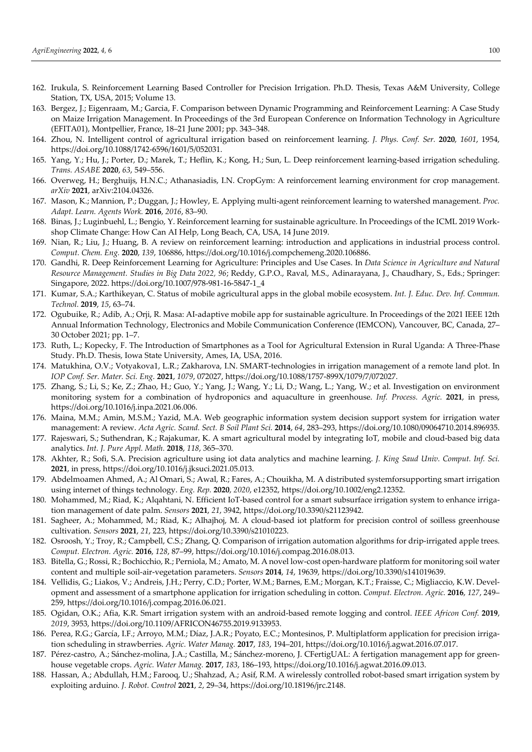- 162. Irukula, S. Reinforcement Learning Based Controller for Precision Irrigation. Ph.D. Thesis, Texas A&M University, College Station, TX, USA, 2015; Volume 13.
- 163. Bergez, J.; Eigenraam, M.; Garcia, F. Comparison between Dynamic Programming and Reinforcement Learning: A Case Study on Maize Irrigation Management. In Proceedings of the 3rd European Conference on Information Technology in Agriculture (EFITA01), Montpellier, France, 18–21 June 2001; pp. 343–348.
- 164. Zhou, N. Intelligent control of agricultural irrigation based on reinforcement learning. *J. Phys. Conf. Ser.* **2020**, *1601*, 1954, https://doi.org/10.1088/1742-6596/1601/5/052031.
- 165. Yang, Y.; Hu, J.; Porter, D.; Marek, T.; Heflin, K.; Kong, H.; Sun, L. Deep reinforcement learning-based irrigation scheduling. *Trans. ASABE* **2020**, *63*, 549–556.
- 166. Overweg, H.; Berghuijs, H.N.C.; Athanasiadis, I.N. CropGym: A reinforcement learning environment for crop management. *arXiv* **2021**, arXiv:2104.04326.
- 167. Mason, K.; Mannion, P.; Duggan, J.; Howley, E. Applying multi-agent reinforcement learning to watershed management. *Proc. Adapt. Learn. Agents Work.* **2016**, *2016*, 83–90.
- 168. Binas, J.; Luginbuehl, L.; Bengio, Y. Reinforcement learning for sustainable agriculture. In Proceedings of the ICML 2019 Workshop Climate Change: How Can AI Help, Long Beach, CA, USA, 14 June 2019.
- 169. Nian, R.; Liu, J.; Huang, B. A review on reinforcement learning: introduction and applications in industrial process control. *Comput. Chem. Eng.* **2020**, *139*, 106886, https://doi.org/10.1016/j.compchemeng.2020.106886.
- 170. Gandhi, R. Deep Reinforcement Learning for Agriculture: Principles and Use Cases. In *Data Science in Agriculture and Natural Resource Management. Studies in Big Data 2022, 96*; Reddy, G.P.O., Raval, M.S., Adinarayana, J., Chaudhary, S., Eds.; Springer: Singapore, 2022. https://doi.org/10.1007/978-981-16-5847-1\_4
- 171. Kumar, S.A.; Karthikeyan, C. Status of mobile agricultural apps in the global mobile ecosystem. *Int. J. Educ. Dev. Inf. Commun. Technol.* **2019**, *15*, 63–74.
- 172. Ogubuike, R.; Adib, A.; Orji, R. Masa: AI-adaptive mobile app for sustainable agriculture. In Proceedings of the 2021 IEEE 12th Annual Information Technology, Electronics and Mobile Communication Conference (IEMCON), Vancouver, BC, Canada, 27– 30 October 2021; pp. 1–7.
- 173. Ruth, L.; Kopecky, F. The Introduction of Smartphones as a Tool for Agricultural Extension in Rural Uganda: A Three-Phase Study. Ph.D. Thesis, Iowa State University, Ames, IA, USA, 2016.
- 174. Matukhina, O.V.; Votyakova1, L.R.; Zakharova, I.N. SMART-technologies in irrigation management of a remote land plot. In *IOP Conf. Ser. Mater. Sci. Eng.* **2021**, *1079*, 072027, https://doi.org/10.1088/1757-899X/1079/7/072027.
- 175. Zhang, S.; Li, S.; Ke, Z.; Zhao, H.; Guo, Y.; Yang, J.; Wang, Y.; Li, D.; Wang, L.; Yang, W.; et al. Investigation on environment monitoring system for a combination of hydroponics and aquaculture in greenhouse. *Inf. Process. Agric.* **2021**, in press, https://doi.org/10.1016/j.inpa.2021.06.006.
- 176. Maina, M.M.; Amin, M.S.M.; Yazid, M.A. Web geographic information system decision support system for irrigation water management: A review. *Acta Agric. Scand. Sect. B Soil Plant Sci.* **2014**, *64*, 283–293, https://doi.org/10.1080/09064710.2014.896935.
- 177. Rajeswari, S.; Suthendran, K.; Rajakumar, K. A smart agricultural model by integrating IoT, mobile and cloud-based big data analytics. *Int. J. Pure Appl. Math.* **2018**, *118*, 365–370.
- 178. Akhter, R.; Sofi, S.A. Precision agriculture using iot data analytics and machine learning. *J. King Saud Univ. Comput. Inf. Sci.* **2021**, in press, https://doi.org/10.1016/j.jksuci.2021.05.013.
- 179. Abdelmoamen Ahmed, A.; Al Omari, S.; Awal, R.; Fares, A.; Chouikha, M. A distributed systemforsupporting smart irrigation using internet of things technology. *Eng. Rep.* **2020**, *2020*, e12352, https://doi.org/10.1002/eng2.12352.
- 180. Mohammed, M.; Riad, K.; Alqahtani, N. Efficient IoT-based control for a smart subsurface irrigation system to enhance irrigation management of date palm. *Sensors* **2021**, *21*, 3942, https://doi.org/10.3390/s21123942.
- 181. Sagheer, A.; Mohammed, M.; Riad, K.; Alhajhoj, M. A cloud-based iot platform for precision control of soilless greenhouse cultivation. *Sensors* **2021**, *21*, 223, https://doi.org/10.3390/s21010223.
- 182. Osroosh, Y.; Troy, R.; Campbell, C.S.; Zhang, Q. Comparison of irrigation automation algorithms for drip-irrigated apple trees. *Comput. Electron. Agric.* **2016**, *128*, 87–99, https://doi.org/10.1016/j.compag.2016.08.013.
- 183. Bitella, G.; Rossi, R.; Bochicchio, R.; Perniola, M.; Amato, M. A novel low-cost open-hardware platform for monitoring soil water content and multiple soil-air-vegetation parameters. *Sensors* **2014**, *14*, 19639, https://doi.org/10.3390/s141019639.
- 184. Vellidis, G.; Liakos, V.; Andreis, J.H.; Perry, C.D.; Porter, W.M.; Barnes, E.M.; Morgan, K.T.; Fraisse, C.; Migliaccio, K.W. Development and assessment of a smartphone application for irrigation scheduling in cotton. *Comput. Electron. Agric.* **2016**, *127*, 249– 259, https://doi.org/10.1016/j.compag.2016.06.021.
- 185. Ogidan, O.K.; Afia, K.R. Smart irrigation system with an android-based remote logging and control. *IEEE Africon Conf.* **2019**, *2019*, 3953, https://doi.org/10.1109/AFRICON46755.2019.9133953.
- 186. Perea, R.G.; García, I.F.; Arroyo, M.M.; Díaz, J.A.R.; Poyato, E.C.; Montesinos, P. Multiplatform application for precision irrigation scheduling in strawberries. *Agric. Water Manag.* **2017**, *183*, 194–201, https://doi.org/10.1016/j.agwat.2016.07.017.
- 187. Pérez-castro, A.; Sánchez-molina, J.A.; Castilla, M.; Sánchez-moreno, J. CFertigUAL: A fertigation management app for greenhouse vegetable crops. *Agric. Water Manag.* **2017**, *183*, 186–193, https://doi.org/10.1016/j.agwat.2016.09.013.
- 188. Hassan, A.; Abdullah, H.M.; Farooq, U.; Shahzad, A.; Asif, R.M. A wirelessly controlled robot-based smart irrigation system by exploiting arduino. *J. Robot. Control* **2021**, *2*, 29–34, https://doi.org/10.18196/jrc.2148.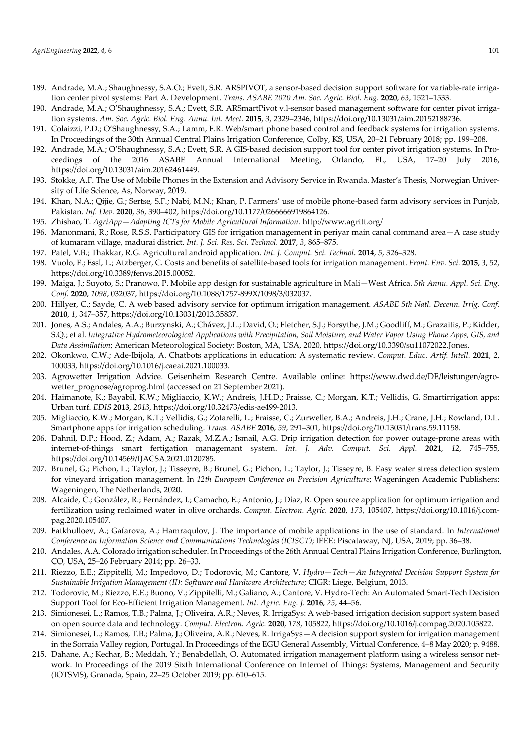- 189. Andrade, M.A.; Shaughnessy, S.A.O.; Evett, S.R. ARSPIVOT, a sensor-based decision support software for variable-rate irrigation center pivot systems: Part A. Development. *Trans. ASABE 2020 Am. Soc. Agric. Biol. Eng.* **2020**, *63*, 1521–1533.
- 190. Andrade, M.A.; O'Shaughnessy, S.A.; Evett, S.R. ARSmartPivot v.l-sensor based management software for center pivot irrigation systems. *Am. Soc. Agric. Biol. Eng. Annu. Int. Meet.* **2015**, *3*, 2329–2346, https://doi.org/10.13031/aim.20152188736.
- 191. Colaizzi, P.D.; O'Shaughnessy, S.A.; Lamm, F.R. Web/smart phone based control and feedback systems for irrigation systems. In Proceedings of the 30th Annual Central Plains Irrigation Conference, Colby, KS, USA, 20–21 February 2018; pp. 199–208.
- 192. Andrade, M.A.; O'Shaughnessy, S.A.; Evett, S.R. A GIS-based decision support tool for center pivot irrigation systems. In Proceedings of the 2016 ASABE Annual International Meeting, Orlando, FL, USA, 17–20 July 2016, https://doi.org/10.13031/aim.20162461449.
- 193. Stokke, A.F. The Use of Mobile Phones in the Extension and Advisory Service in Rwanda. Master's Thesis, Norwegian University of Life Science, As, Norway, 2019.
- 194. Khan, N.A.; Qijie, G.; Sertse, S.F.; Nabi, M.N.; Khan, P. Farmers' use of mobile phone-based farm advisory services in Punjab, Pakistan. *Inf. Dev.* **2020**, *36*, 390–402, https://doi.org/10.1177/0266666919864126.
- 195. Zhishao, T. *AgriApp—Adapting ICTs for Mobile Agricultural Information*. http://www.agritt.org/
- 196. Manonmani, R.; Rose, R.S.S. Participatory GIS for irrigation management in periyar main canal command area—A case study of kumaram village, madurai district. *Int. J. Sci. Res. Sci. Technol.* **2017**, *3*, 865–875.
- 197. Patel, V.B.; Thakkar, R.G. Agricultural android application. *Int. J. Comput. Sci. Technol.* **2014**, *5*, 326–328.
- 198. Vuolo, F.; Essl, L.; Atzberger, C. Costs and benefits of satellite-based tools for irrigation management. *Front. Env. Sci.* **2015**, *3*, 52, https://doi.org/10.3389/fenvs.2015.00052.
- 199. Maiga, J.; Suyoto, S.; Pranowo, P. Mobile app design for sustainable agriculture in Mali—West Africa. *5th Annu. Appl. Sci. Eng. Conf.* **2020**, *1098*, 032037, https://doi.org/10.1088/1757-899X/1098/3/032037.
- 200. Hillyer, C.; Sayde, C. A web based advisory service for optimum irrigation management. *ASABE 5th Natl. Decenn. Irrig. Conf.*  **2010**, *1*, 347–357, https://doi.org/10.13031/2013.35837.
- 201. Jones, A.S.; Andales, A.A.; Burzynski, A.; Chávez, J.L.; David, O.; Fletcher, S.J.; Forsythe, J.M.; Goodliff, M.; Grazaitis, P.; Kidder, S.Q.; et al. *Integrative Hydrometeorological Applications with Precipitation, Soil Moisture, and Water Vapor Using Phone Apps, GIS, and Data Assimilation*; American Meteorological Society: Boston, MA, USA, 2020, https://doi.org/10.3390/su11072022.Jones.
- 202. Okonkwo, C.W.; Ade-Ibijola, A. Chatbots applications in education: A systematic review. *Comput. Educ. Artif. Intell.* **2021**, *2*, 100033, https://doi.org/10.1016/j.caeai.2021.100033.
- 203. Agrowetter Irrigation Advice. Geisenheim Research Centre. Available online: https://www.dwd.de/DE/leistungen/agrowetter\_prognose/agroprog.html (accessed on 21 September 2021).
- 204. Haimanote, K.; Bayabil, K.W.; Migliaccio, K.W.; Andreis, J.H.D.; Fraisse, C.; Morgan, K.T.; Vellidis, G. Smartirrigation apps: Urban turf. *EDIS* **2013**, *2013*, https://doi.org/10.32473/edis-ae499-2013.
- 205. Migliaccio, K.W.; Morgan, K.T.; Vellidis, G.; Zotarelli, L.; Fraisse, C.; Zurweller, B.A.; Andreis, J.H.; Crane, J.H.; Rowland, D.L. Smartphone apps for irrigation scheduling. *Trans. ASABE* **2016**, *59*, 291–301, https://doi.org/10.13031/trans.59.11158.
- 206. Dahnil, D.P.; Hood, Z.; Adam, A.; Razak, M.Z.A.; Ismail, A.G. Drip irrigation detection for power outage-prone areas with internet-of-things smart fertigation managemant system. *Int. J. Adv. Comput. Sci. Appl.* **2021**, *12*, 745–755, https://doi.org/10.14569/IJACSA.2021.0120785.
- 207. Brunel, G.; Pichon, L.; Taylor, J.; Tisseyre, B.; Brunel, G.; Pichon, L.; Taylor, J.; Tisseyre, B. Easy water stress detection system for vineyard irrigation management. In *12th European Conference on Precision Agriculture*; Wageningen Academic Publishers: Wageningen, The Netherlands, 2020.
- 208. Alcaide, C.; González, R.; Fernández, I.; Camacho, E.; Antonio, J.; Díaz, R. Open source application for optimum irrigation and fertilization using reclaimed water in olive orchards. *Comput. Electron. Agric.* **2020**, *173*, 105407, https://doi.org/10.1016/j.compag.2020.105407.
- 209. Fatkhulloev, A.; Gafarova, A.; Hamraqulov, J. The importance of mobile applications in the use of standard. In *International Conference on Information Science and Communications Technologies (ICISCT)*; IEEE: Piscataway, NJ, USA, 2019; pp. 36–38.
- 210. Andales, A.A. Colorado irrigation scheduler. In Proceedings of the 26th Annual Central Plains Irrigation Conference, Burlington, CO, USA, 25–26 February 2014; pp. 26–33.
- 211. Riezzo, E.E.; Zippitelli, M.; Impedovo, D.; Todorovic, M.; Cantore, V. *Hydro—Tech—An Integrated Decision Support System for Sustainable Irrigation Management (II): Software and Hardware Architecture*; CIGR: Liege, Belgium, 2013.
- 212. Todorovic, M.; Riezzo, E.E.; Buono, V.; Zippitelli, M.; Galiano, A.; Cantore, V. Hydro-Tech: An Automated Smart-Tech Decision Support Tool for Eco-Efficient Irrigation Management. *Int. Agric. Eng. J.* **2016**, *25*, 44–56.
- 213. Simionesei, L.; Ramos, T.B.; Palma, J.; Oliveira, A.R.; Neves, R. IrrigaSys: A web-based irrigation decision support system based on open source data and technology. *Comput. Electron. Agric.* **2020**, *178*, 105822, https://doi.org/10.1016/j.compag.2020.105822.
- 214. Simionesei, L.; Ramos, T.B.; Palma, J.; Oliveira, A.R.; Neves, R. IrrigaSys—A decision support system for irrigation management in the Sorraia Valley region, Portugal. In Proceedings of the EGU General Assembly, Virtual Conference, 4–8 May 2020; p. 9488.
- 215. Dahane, A.; Kechar, B.; Meddah, Y.; Benabdellah, O. Automated irrigation management platform using a wireless sensor network. In Proceedings of the 2019 Sixth International Conference on Internet of Things: Systems, Management and Security (IOTSMS), Granada, Spain, 22–25 October 2019; pp. 610–615.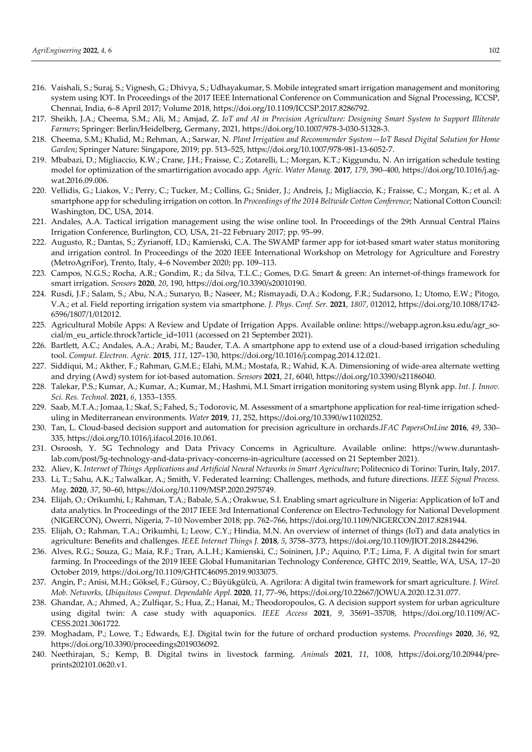- 216. Vaishali, S.; Suraj, S.; Vignesh, G.; Dhivya, S.; Udhayakumar, S. Mobile integrated smart irrigation management and monitoring system using IOT. In Proceedings of the 2017 IEEE International Conference on Communication and Signal Processing, ICCSP, Chennai, India, 6–8 April 2017; Volume 2018, https://doi.org/10.1109/ICCSP.2017.8286792.
- 217. Sheikh, J.A.; Cheema, S.M.; Ali, M.; Amjad, Z. *IoT and AI in Precision Agriculture: Designing Smart System to Support Illiterate Farmers*; Springer: Berlin/Heidelberg, Germany, 2021, https://doi.org/10.1007/978-3-030-51328-3.
- 218. Cheema, S.M.; Khalid, M.; Rehman, A.; Sarwar, N. *Plant Irrigation and Recommender System—IoT Based Digital Solution for Home Garden*; Springer Nature: Singapore, 2019; pp. 513–525, https://doi.org/10.1007/978-981-13-6052-7.
- 219. Mbabazi, D.; Migliaccio, K.W.; Crane, J.H.; Fraisse, C.; Zotarelli, L.; Morgan, K.T.; Kiggundu, N. An irrigation schedule testing model for optimization of the smartirrigation avocado app. *Agric. Water Manag.* **2017**, *179*, 390–400, https://doi.org/10.1016/j.agwat.2016.09.006.
- 220. Vellidis, G.; Liakos, V.; Perry, C.; Tucker, M.; Collins, G.; Snider, J.; Andreis, J.; Migliaccio, K.; Fraisse, C.; Morgan, K.; et al. A smartphone app for scheduling irrigation on cotton. In *Proceedings of the 2014 Beltwide Cotton Conference*; National Cotton Council: Washington, DC, USA, 2014.
- 221. Andales, A.A. Tactical irrigation management using the wise online tool. In Proceedings of the 29th Annual Central Plains Irrigation Conference, Burlington, CO, USA, 21–22 February 2017; pp. 95–99.
- 222. Augusto, R.; Dantas, S.; Zyrianoff, I.D.; Kamienski, C.A. The SWAMP farmer app for iot-based smart water status monitoring and irrigation control. In Proceedings of the 2020 IEEE International Workshop on Metrology for Agriculture and Forestry (MetroAgriFor), Trento, Italy, 4–6 November 2020; pp. 109–113.
- 223. Campos, N.G.S.; Rocha, A.R.; Gondim, R.; da Silva, T.L.C.; Gomes, D.G. Smart & green: An internet-of-things framework for smart irrigation. *Sensors* **2020**, *20*, 190, https://doi.org/10.3390/s20010190.
- 224. Rusdi, J.F.; Salam, S.; Abu, N.A.; Sunaryo, B.; Naseer, M.; Rismayadi, D.A.; Kodong, F.R.; Sudarsono, I.; Utomo, E.W.; Pitogo, V.A.; et al. Field reporting irrigation system via smartphone. *J. Phys. Conf. Ser.* **2021**, *1807*, 012012, https://doi.org/10.1088/1742- 6596/1807/1/012012.
- 225. Agricultural Mobile Apps: A Review and Update of Irrigation Apps. Available online: https://webapp.agron.ksu.edu/agr\_social/m\_eu\_article.throck?article\_id=1011 (accessed on 21 September 2021).
- 226. Bartlett, A.C.; Andales, A.A.; Arabi, M.; Bauder, T.A. A smartphone app to extend use of a cloud-based irrigation scheduling tool. *Comput. Electron. Agric.* **2015**, *111*, 127–130, https://doi.org/10.1016/j.compag.2014.12.021.
- 227. Siddiqui, M.; Akther, F.; Rahman, G.M.E.; Elahi, M.M.; Mostafa, R.; Wahid, K.A. Dimensioning of wide-area alternate wetting and drying (Awd) system for iot-based automation. *Sensors* **2021**, *21*, 6040, https://doi.org/10.3390/s21186040.
- 228. Talekar, P.S.; Kumar, A.; Kumar, A.; Kumar, M.; Hashmi, M.I. Smart irrigation monitoring system using Blynk app. *Int. J. Innov. Sci. Res. Technol.* **2021**, *6*, 1353–1355.
- 229. Saab, M.T.A.; Jomaa, I.; Skaf, S.; Fahed, S.; Todorovic, M. Assessment of a smartphone application for real-time irrigation scheduling in Mediterranean environments. *Water* **2019**, *11*, 252, https://doi.org/10.3390/w11020252.
- 230. Tan, L. Cloud-based decision support and automation for precision agriculture in orchards.*IFAC PapersOnLine* **2016**, *49*, 330– 335, https://doi.org/10.1016/j.ifacol.2016.10.061.
- 231. Osroosh, Y. 5G Technology and Data Privacy Concerns in Agriculture. Available online: https://www.duruntashlab.com/post/5g-technology-and-data-privacy-concerns-in-agriculture (accessed on 21 September 2021).
- 232. Aliev, K. *Internet of Things Applications and Artificial Neural Networks in Smart Agriculture*; Politecnico di Torino: Turin, Italy, 2017.
- 233. Li, T.; Sahu, A.K.; Talwalkar, A.; Smith, V. Federated learning: Challenges, methods, and future directions. *IEEE Signal Process. Mag.* **2020**, *37*, 50–60, https://doi.org/10.1109/MSP.2020.2975749.
- 234. Elijah, O.; Orikumhi, I.; Rahman, T.A.; Babale, S.A.; Orakwue, S.I. Enabling smart agriculture in Nigeria: Application of IoT and data analytics. In Proceedings of the 2017 IEEE 3rd International Conference on Electro-Technology for National Development (NIGERCON), Owerri, Nigeria, 7–10 November 2018; pp. 762–766, https://doi.org/10.1109/NIGERCON.2017.8281944.
- 235. Elijah, O.; Rahman, T.A.; Orikumhi, I.; Leow, C.Y.; Hindia, M.N. An overview of internet of things (IoT) and data analytics in agriculture: Benefits and challenges. *IEEE Internet Things J.* **2018**, *5*, 3758–3773, https://doi.org/10.1109/JIOT.2018.2844296.
- 236. Alves, R.G.; Souza, G.; Maia, R.F.; Tran, A.L.H.; Kamienski, C.; Soininen, J.P.; Aquino, P.T.; Lima, F. A digital twin for smart farming. In Proceedings of the 2019 IEEE Global Humanitarian Technology Conference, GHTC 2019, Seattle, WA, USA, 17–20 October 2019, https://doi.org/10.1109/GHTC46095.2019.9033075.
- 237. Angin, P.; Anisi, M.H.; Göksel, F.; Gürsoy, C.; Büyükgülcü, A. Agrilora: A digital twin framework for smart agriculture. *J. Wirel. Mob. Networks, Ubiquitous Comput. Dependable Appl.* **2020**, *11*, 77–96, https://doi.org/10.22667/JOWUA.2020.12.31.077.
- 238. Ghandar, A.; Ahmed, A.; Zulfiqar, S.; Hua, Z.; Hanai, M.; Theodoropoulos, G. A decision support system for urban agriculture using digital twin: A case study with aquaponics. *IEEE Access* **2021**, *9*, 35691–35708, https://doi.org/10.1109/AC-CESS.2021.3061722.
- 239. Moghadam, P.; Lowe, T.; Edwards, E.J. Digital twin for the future of orchard production systems. *Proceedings* **2020**, *36*, 92, https://doi.org/10.3390/proceedings2019036092.
- 240. Neethirajan, S.; Kemp, B. Digital twins in livestock farming. *Animals* **2021**, *11*, 1008, https://doi.org/10.20944/preprints202101.0620.v1.